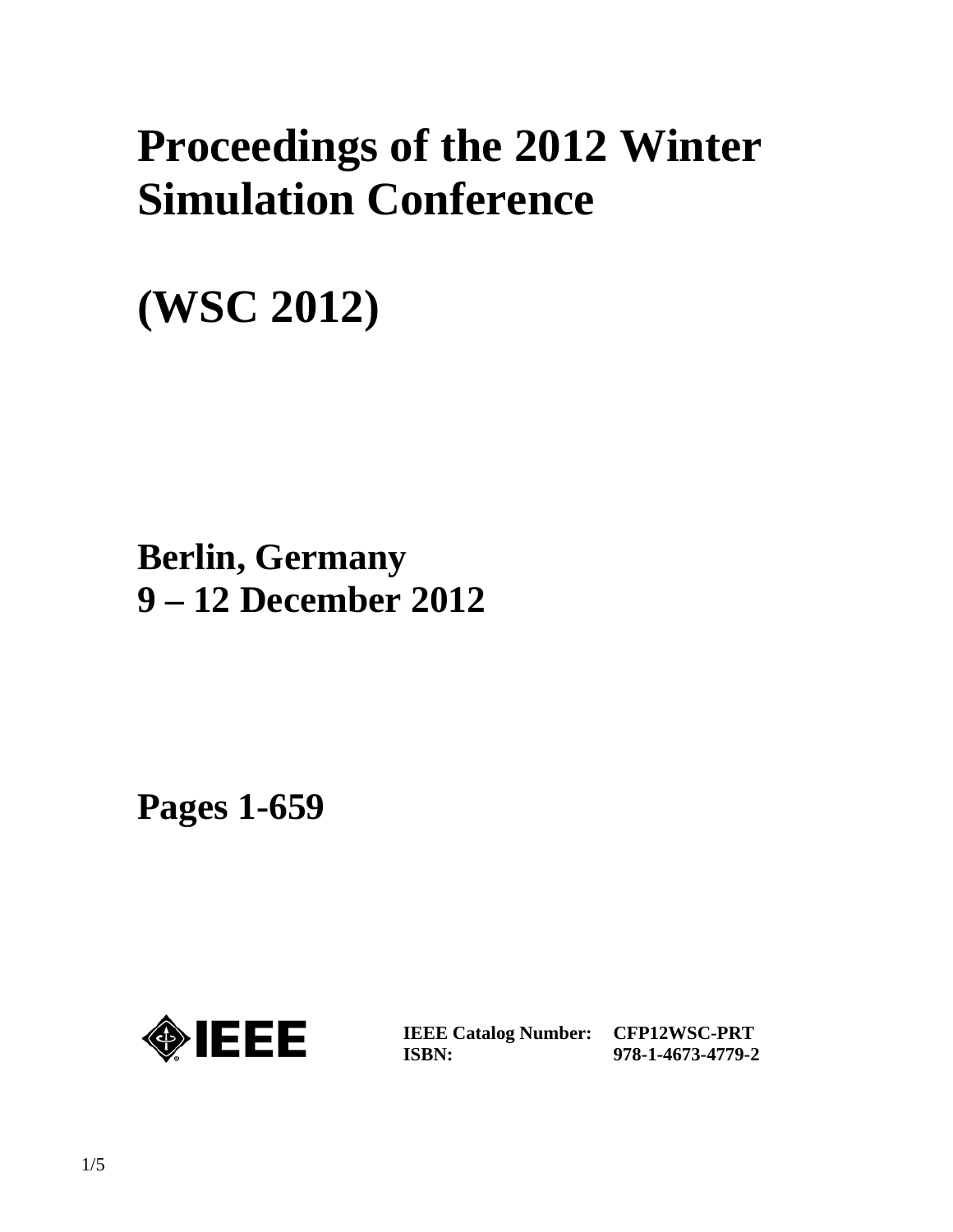# **Proceedings of the 2012 Winter Simulation Conference**

# **(WSC 2012)**

# **Berlin, Germany 9 – 12 December 2012**

**Pages 1-659** 



**IEEE Catalog Number: CFP12WSC-PRT ISBN:** 

**978-1-4673-4779-2**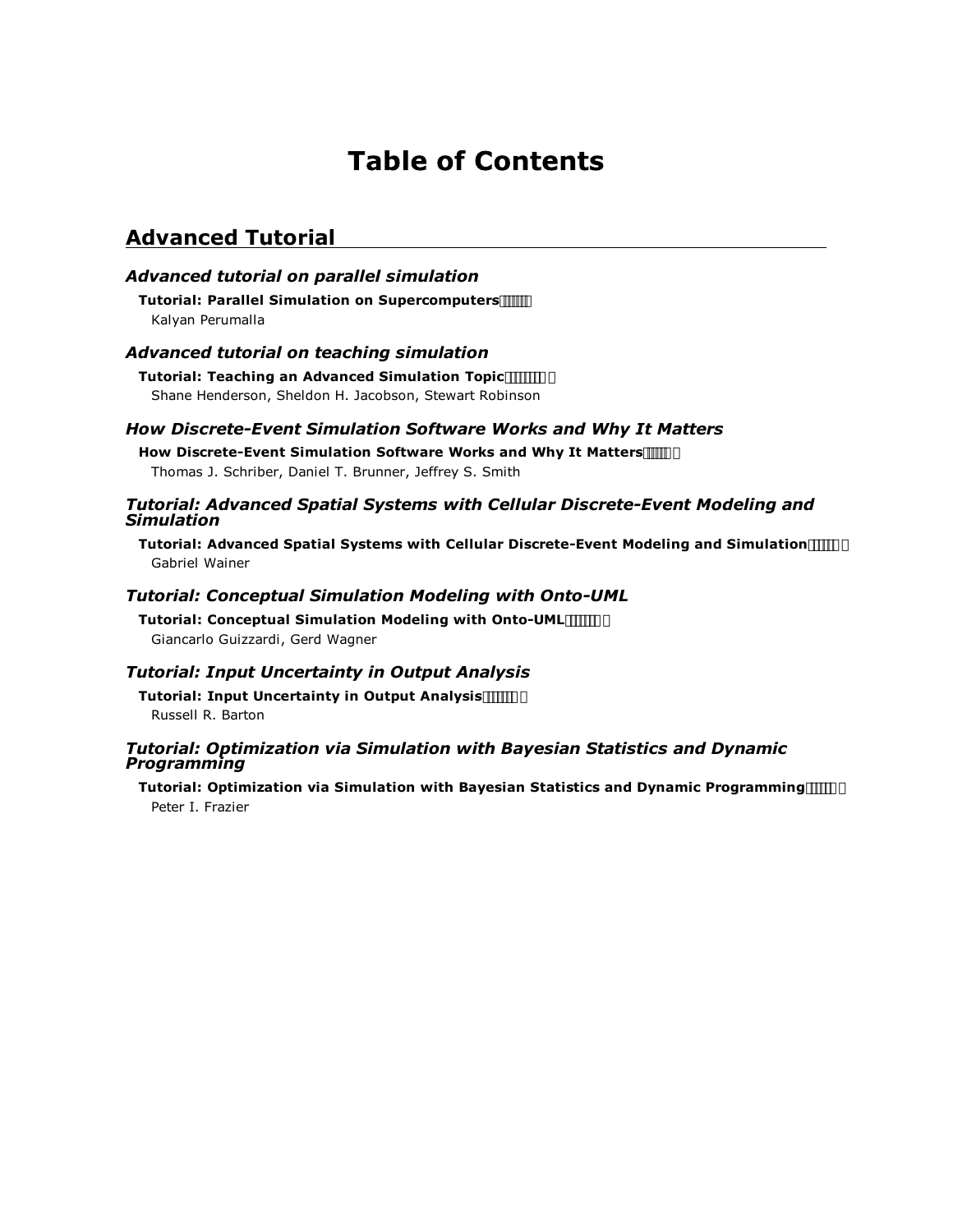# **Table of Contents**

# **Advanced Tutorial**

#### *Advanced tutorial on parallel simulation*

**Tutorial: Parallel Simulation on Supercomputers** Kalyan Perumalla

#### *Advanced tutorial on teaching simulation*

**Tutorial: Teaching an Advanced Simulation Topic** Shane Henderson, Sheldon H. Jacobson, Stewart Robinson

## *How Discrete-Event Simulation Software Works and Why It Matters*

**How Discrete-Event Simulation Software Works and Why It Matters** Thomas J. Schriber, Daniel T. Brunner, Jeffrey S. Smith

## *Tutorial: Advanced Spatial Systems with Cellular Discrete-Event Modeling and Simulation*

**Tutorial: Advanced Spatial Systems with Cellular Discrete-Event Modeling and Simulation** Gabriel Wainer

#### *Tutorial: Conceptual Simulation Modeling with Onto-UML*

**Tutorial: Conceptual Simulation Modeling with Onto-UML** Giancarlo Guizzardi, Gerd Wagner

#### *Tutorial: Input Uncertainty in Output Analysis*

**Tutorial: Input Uncertainty in Output Analysis** Russell R. Barton

#### *Tutorial: Optimization via Simulation with Bayesian Statistics and Dynamic Programming*

**Tutorial: Optimization via Simulation with Bayesian Statistics and Dynamic Programming** Peter I. Frazier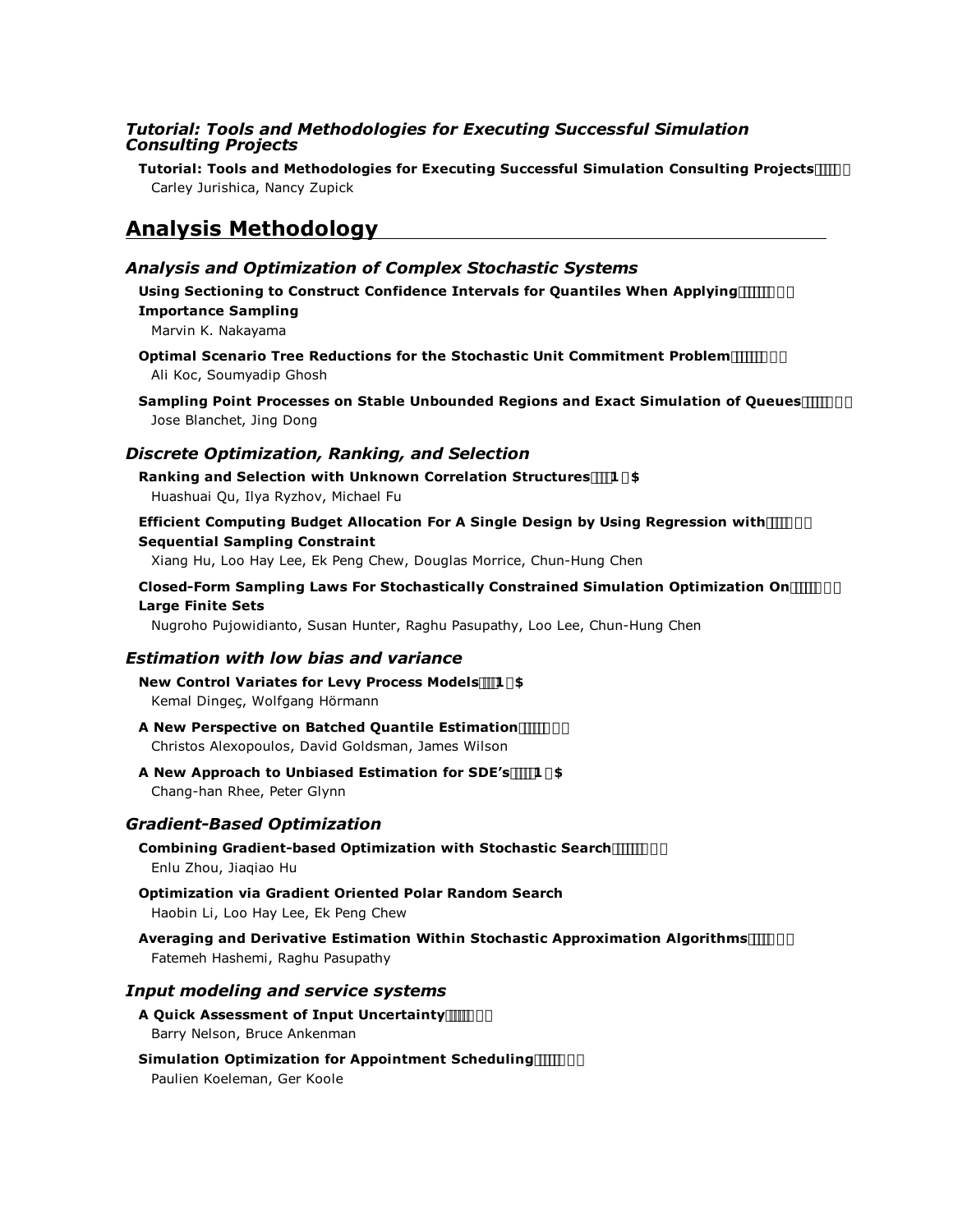#### *Tutorial: Tools and Methodologies for Executing Successful Simulation Consulting Projects*

**Tutorial: Tools and Methodologies for Executing Successful Simulation Consulting Projects** Carley Jurishica, Nancy Zupick

# **Analysis Methodology**

#### *Analysis and Optimization of Complex Stochastic Systems*

**Using Sectioning to Construct Confidence Intervals for Quantiles When Applying**

**Importance Sampling**

Marvin K. Nakayama

**Optimal Scenario Tree Reductions for the Stochastic Unit Commitment Problem** Ali Koc, Soumyadip Ghosh

**Sampling Point Processes on Stable Unbounded Regions and Exact Simulation of Queues** Jose Blanchet, Jing Dong

#### *Discrete Optimization, Ranking, and Selection*

**Ranking and Selection with Unknown Correlation Structures1\$** Huashuai Qu, Ilya Ryzhov, Michael Fu

**Efficient Computing Budget Allocation For A Single Design by Using Regression with Sequential Sampling Constraint**

Xiang Hu, Loo Hay Lee, Ek Peng Chew, Douglas Morrice, Chun-Hung Chen

**Closed-Form Sampling Laws For Stochastically Constrained Simulation Optimization On Large Finite Sets**

Nugroho Pujowidianto, Susan Hunter, Raghu Pasupathy, Loo Lee, Chun-Hung Chen

#### *Estimation with low bias and variance*

**New Control Variates for Levy Process Models1\$** Kemal Dingeç, Wolfgang Hörmann

- **A New Perspective on Batched Quantile Estimation** Christos Alexopoulos, David Goldsman, James Wilson
- A New Approach to Unbiased Estimation for SDE's **1845** Chang-han Rhee, Peter Glynn

#### *Gradient-Based Optimization*

**Combining Gradient-based Optimization with Stochastic Search** Enlu Zhou, Jiaqiao Hu

**Optimization via Gradient Oriented Polar Random Search** Haobin Li, Loo Hay Lee, Ek Peng Chew

**Averaging and Derivative Estimation Within Stochastic Approximation Algorithms** Fatemeh Hashemi, Raghu Pasupathy

#### *Input modeling and service systems*

- **A Quick Assessment of Input Uncertainty** Barry Nelson, Bruce Ankenman
- **Simulation Optimization for Appointment Scheduling** Paulien Koeleman, Ger Koole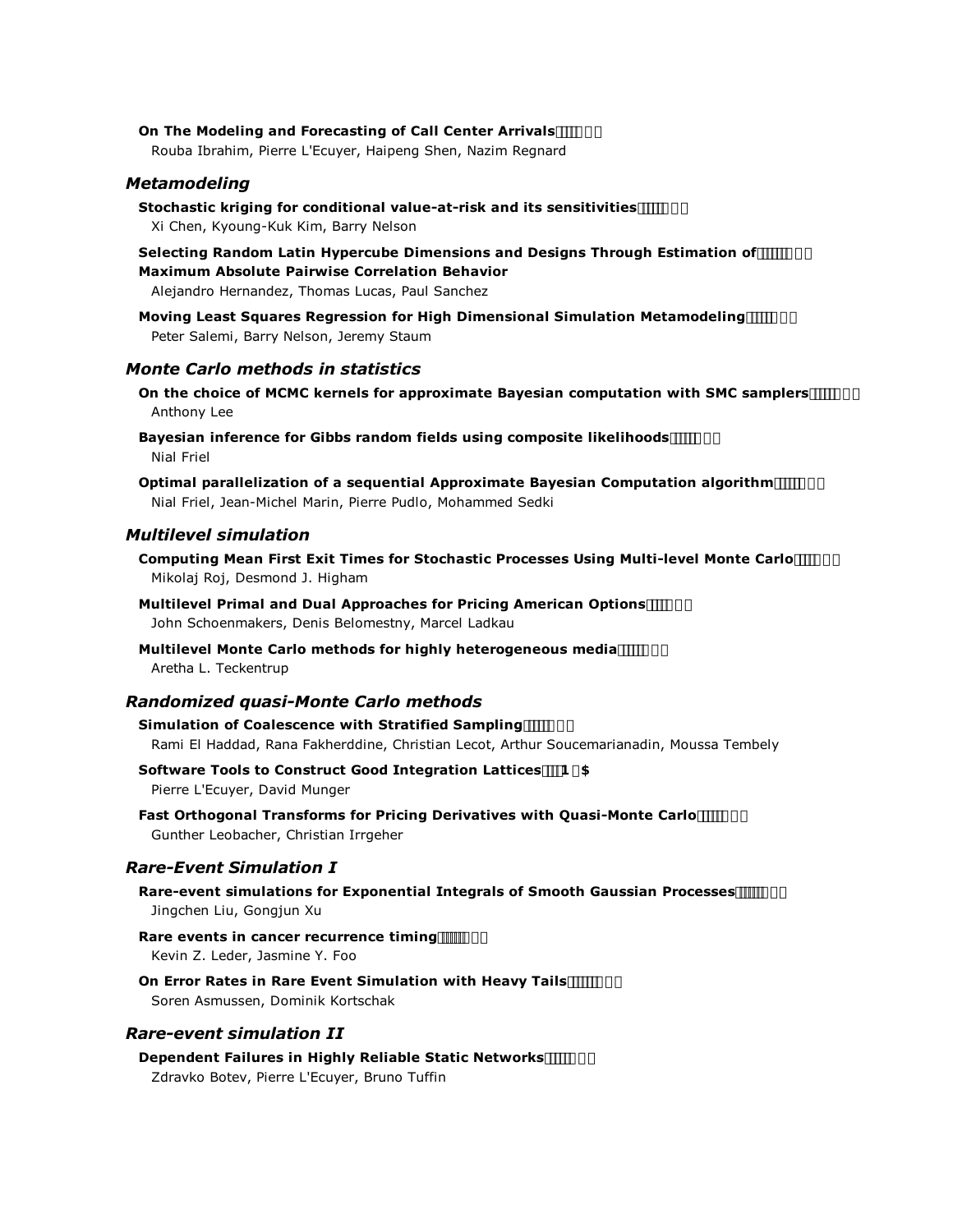```
On The Modeling and Forecasting of Call Center Arrivals
Rouba Ibrahim, Pierre L'Ecuyer, Haipeng Shen, Nazim Regnard
```
#### *Metamodeling*

- **Stochastic kriging for conditional value-at-risk and its sensitivities** Xi Chen, Kyoung-Kuk Kim, Barry Nelson
- **Selecting Random Latin Hypercube Dimensions and Designs Through Estimation of Maximum Absolute Pairwise Correlation Behavior**

Alejandro Hernandez, Thomas Lucas, Paul Sanchez

**Moving Least Squares Regression for High Dimensional Simulation Metamodeling** Peter Salemi, Barry Nelson, Jeremy Staum

#### *Monte Carlo methods in statistics*

- **On the choice of MCMC kernels for approximate Bayesian computation with SMC samplers** Anthony Lee
- **Bayesian inference for Gibbs random fields using composite likelihoods** Nial Friel
- **Optimal parallelization of a sequential Approximate Bayesian Computation algorithm** Nial Friel, Jean-Michel Marin, Pierre Pudlo, Mohammed Sedki

#### *Multilevel simulation*

- **Computing Mean First Exit Times for Stochastic Processes Using Multi-level Monte Carlo** Mikolaj Roj, Desmond J. Higham
- **Multilevel Primal and Dual Approaches for Pricing American Options** John Schoenmakers, Denis Belomestny, Marcel Ladkau
- **Multilevel Monte Carlo methods for highly heterogeneous media** Aretha L. Teckentrup

#### *Randomized quasi-Monte Carlo methods*

**Simulation of Coalescence with Stratified Sampling** Rami El Haddad, Rana Fakherddine, Christian Lecot, Arthur Soucemarianadin, Moussa Tembely

- **Software Tools to Construct Good Integration Lattices1\$** Pierre L'Ecuyer, David Munger
- **Fast Orthogonal Transforms for Pricing Derivatives with Quasi-Monte Carlo** Gunther Leobacher, Christian Irrgeher

## *Rare-Event Simulation I*

- **Rare-event simulations for Exponential Integrals of Smooth Gaussian Processes** Jingchen Liu, Gongjun Xu
- **Rare events in cancer recurrence timing** Kevin Z. Leder, Jasmine Y. Foo
- **On Error Rates in Rare Event Simulation with Heavy Tails** Soren Asmussen, Dominik Kortschak

#### *Rare-event simulation II*

**Dependent Failures in Highly Reliable Static Networks** Zdravko Botev, Pierre L'Ecuyer, Bruno Tuffin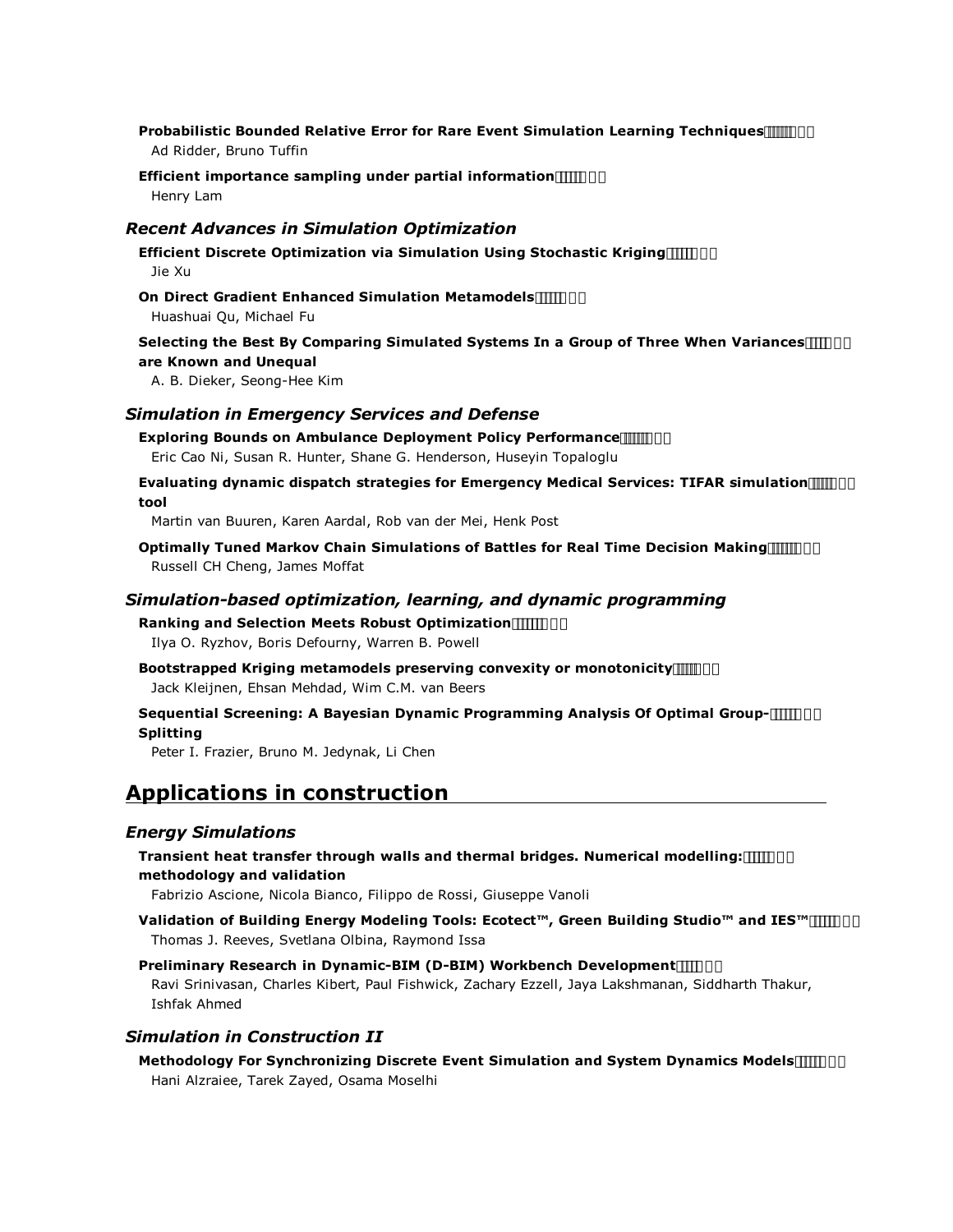- **Probabilistic Bounded Relative Error for Rare Event Simulation Learning Techniques** Ad Ridder, Bruno Tuffin
- **Efficient importance sampling under partial information** Henry Lam

#### *Recent Advances in Simulation Optimization*

**Efficient Discrete Optimization via Simulation Using Stochastic Kriging** Jie Xu

**On Direct Gradient Enhanced Simulation Metamodels**

Huashuai Qu, Michael Fu

**Selecting the Best By Comparing Simulated Systems In a Group of Three When Variances are Known and Unequal**

A. B. Dieker, Seong-Hee Kim

#### *Simulation in Emergency Services and Defense*

**Exploring Bounds on Ambulance Deployment Policy Performance** Eric Cao Ni, Susan R. Hunter, Shane G. Henderson, Huseyin Topaloglu

**Evaluating dynamic dispatch strategies for Emergency Medical Services: TIFAR simulation tool**

Martin van Buuren, Karen Aardal, Rob van der Mei, Henk Post

**Optimally Tuned Markov Chain Simulations of Battles for Real Time Decision Making** Russell CH Cheng, James Moffat

#### *Simulation-based optimization, learning, and dynamic programming*

**Ranking and Selection Meets Robust Optimization** Ilya O. Ryzhov, Boris Defourny, Warren B. Powell

**Bootstrapped Kriging metamodels preserving convexity or monotonicity** Jack Kleijnen, Ehsan Mehdad, Wim C.M. van Beers

**Sequential Screening: A Bayesian Dynamic Programming Analysis Of Optimal Group- Splitting**

Peter I. Frazier, Bruno M. Jedynak, Li Chen

# **Applications in construction**

#### *Energy Simulations*

**Transient heat transfer through walls and thermal bridges. Numerical modelling: methodology and validation**

Fabrizio Ascione, Nicola Bianco, Filippo de Rossi, Giuseppe Vanoli

**Validation of Building Energy Modeling Tools: Ecotect™, Green Building Studio™ and IES™** Thomas J. Reeves, Svetlana Olbina, Raymond Issa

**Preliminary Research in Dynamic-BIM (D-BIM) Workbench Development**

Ravi Srinivasan, Charles Kibert, Paul Fishwick, Zachary Ezzell, Jaya Lakshmanan, Siddharth Thakur, Ishfak Ahmed

#### *Simulation in Construction II*

**Methodology For Synchronizing Discrete Event Simulation and System Dynamics Models** Hani Alzraiee, Tarek Zayed, Osama Moselhi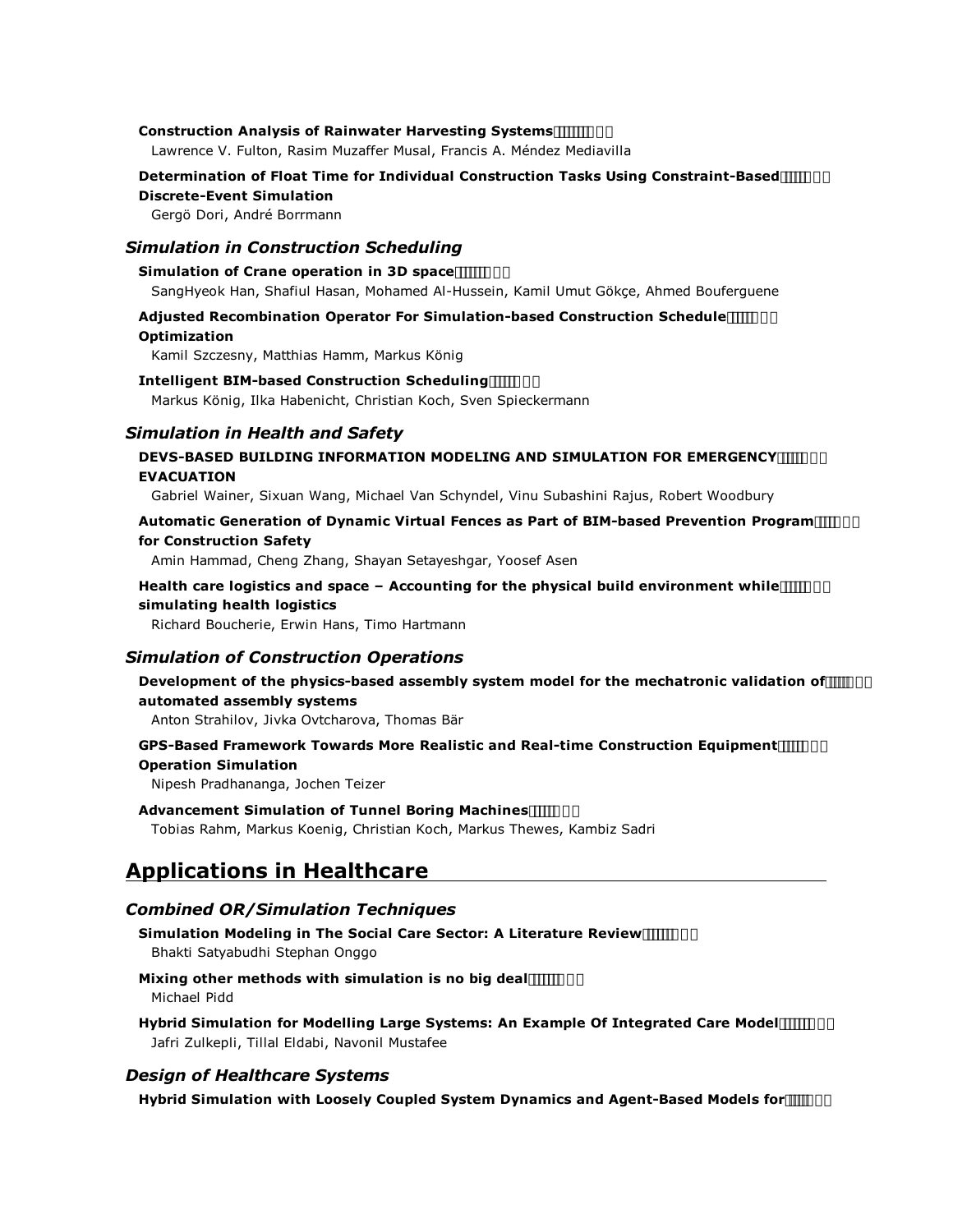## **Construction Analysis of Rainwater Harvesting Systems**

Lawrence V. Fulton, Rasim Muzaffer Musal, Francis A. Méndez Mediavilla

#### **Determination of Float Time for Individual Construction Tasks Using Constraint-Based Discrete-Event Simulation**

Gergö Dori, André Borrmann

#### *Simulation in Construction Scheduling*

#### **Simulation of Crane operation in 3D space**

SangHyeok Han, Shafiul Hasan, Mohamed Al-Hussein, Kamil Umut Gökçe, Ahmed Bouferguene

#### **Adjusted Recombination Operator For Simulation-based Construction Schedule Optimization**

Kamil Szczesny, Matthias Hamm, Markus König

## **Intelligent BIM-based Construction Scheduling**

Markus König, Ilka Habenicht, Christian Koch, Sven Spieckermann

#### *Simulation in Health and Safety*

#### **DEVS-BASED BUILDING INFORMATION MODELING AND SIMULATION FOR EMERGENCY EVACUATION**

Gabriel Wainer, Sixuan Wang, Michael Van Schyndel, Vinu Subashini Rajus, Robert Woodbury

#### **Automatic Generation of Dynamic Virtual Fences as Part of BIM-based Prevention Program for Construction Safety**

Amin Hammad, Cheng Zhang, Shayan Setayeshgar, Yoosef Asen

#### **Health care logistics and space – Accounting for the physical build environment while simulating health logistics**

Richard Boucherie, Erwin Hans, Timo Hartmann

#### *Simulation of Construction Operations*

**Development of the physics-based assembly system model for the mechatronic validation of automated assembly systems**

Anton Strahilov, Jivka Ovtcharova, Thomas Bär

#### **GPS-Based Framework Towards More Realistic and Real-time Construction Equipment Operation Simulation**

Nipesh Pradhananga, Jochen Teizer

#### **Advancement Simulation of Tunnel Boring Machines**

Tobias Rahm, Markus Koenig, Christian Koch, Markus Thewes, Kambiz Sadri

# **Applications in Healthcare**

#### *Combined OR/Simulation Techniques*

**Simulation Modeling in The Social Care Sector: A Literature Review** Bhakti Satyabudhi Stephan Onggo

#### **Mixing other methods with simulation is no big deal** Michael Pidd

**Hybrid Simulation for Modelling Large Systems: An Example Of Integrated Care Model** Jafri Zulkepli, Tillal Eldabi, Navonil Mustafee

#### *Design of Healthcare Systems*

**Hybrid Simulation with Loosely Coupled System Dynamics and Agent-Based Models for**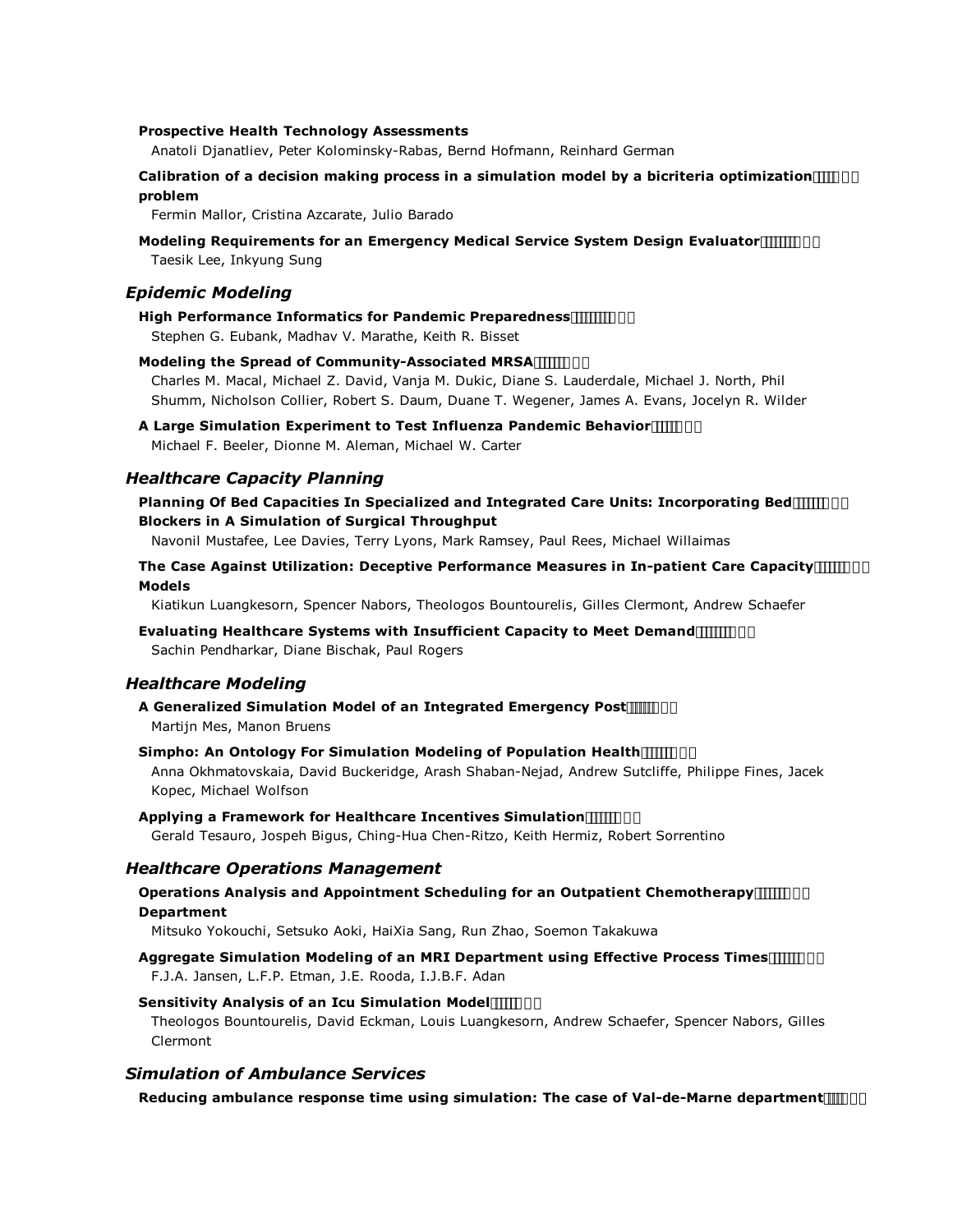#### **Prospective Health Technology Assessments**

Anatoli Djanatliev, Peter Kolominsky-Rabas, Bernd Hofmann, Reinhard German

#### **Calibration of a decision making process in a simulation model by a bicriteria optimization problem**

Fermin Mallor, Cristina Azcarate, Julio Barado

**Modeling Requirements for an Emergency Medical Service System Design Evaluator** Taesik Lee, Inkyung Sung

#### *Epidemic Modeling*

**High Performance Informatics for Pandemic Preparedness** Stephen G. Eubank, Madhav V. Marathe, Keith R. Bisset

**Modeling the Spread of Community-Associated MRSA**

Charles M. Macal, Michael Z. David, Vanja M. Dukic, Diane S. Lauderdale, Michael J. North, Phil Shumm, Nicholson Collier, Robert S. Daum, Duane T. Wegener, James A. Evans, Jocelyn R. Wilder

**A Large Simulation Experiment to Test Influenza Pandemic Behavior** Michael F. Beeler, Dionne M. Aleman, Michael W. Carter

#### *Healthcare Capacity Planning*

**Planning Of Bed Capacities In Specialized and Integrated Care Units: Incorporating Bed Blockers in A Simulation of Surgical Throughput**

Navonil Mustafee, Lee Davies, Terry Lyons, Mark Ramsey, Paul Rees, Michael Willaimas

**The Case Against Utilization: Deceptive Performance Measures in In-patient Care Capacity Models**

Kiatikun Luangkesorn, Spencer Nabors, Theologos Bountourelis, Gilles Clermont, Andrew Schaefer

**Evaluating Healthcare Systems with Insufficient Capacity to Meet Demand** Sachin Pendharkar, Diane Bischak, Paul Rogers

#### *Healthcare Modeling*

- **A Generalized Simulation Model of an Integrated Emergency Post** Martijn Mes, Manon Bruens
- **Simpho: An Ontology For Simulation Modeling of Population Health**

Anna Okhmatovskaia, David Buckeridge, Arash Shaban-Nejad, Andrew Sutcliffe, Philippe Fines, Jacek Kopec, Michael Wolfson

**Applying a Framework for Healthcare Incentives Simulation**

Gerald Tesauro, Jospeh Bigus, Ching-Hua Chen-Ritzo, Keith Hermiz, Robert Sorrentino

#### *Healthcare Operations Management*

#### **Operations Analysis and Appointment Scheduling for an Outpatient Chemotherapy Department**

Mitsuko Yokouchi, Setsuko Aoki, HaiXia Sang, Run Zhao, Soemon Takakuwa

**Aggregate Simulation Modeling of an MRI Department using Effective Process Times** F.J.A. Jansen, L.F.P. Etman, J.E. Rooda, I.J.B.F. Adan

#### **Sensitivity Analysis of an Icu Simulation Model**

Theologos Bountourelis, David Eckman, Louis Luangkesorn, Andrew Schaefer, Spencer Nabors, Gilles Clermont

#### *Simulation of Ambulance Services*

**Reducing ambulance response time using simulation: The case of Val-de-Marne department**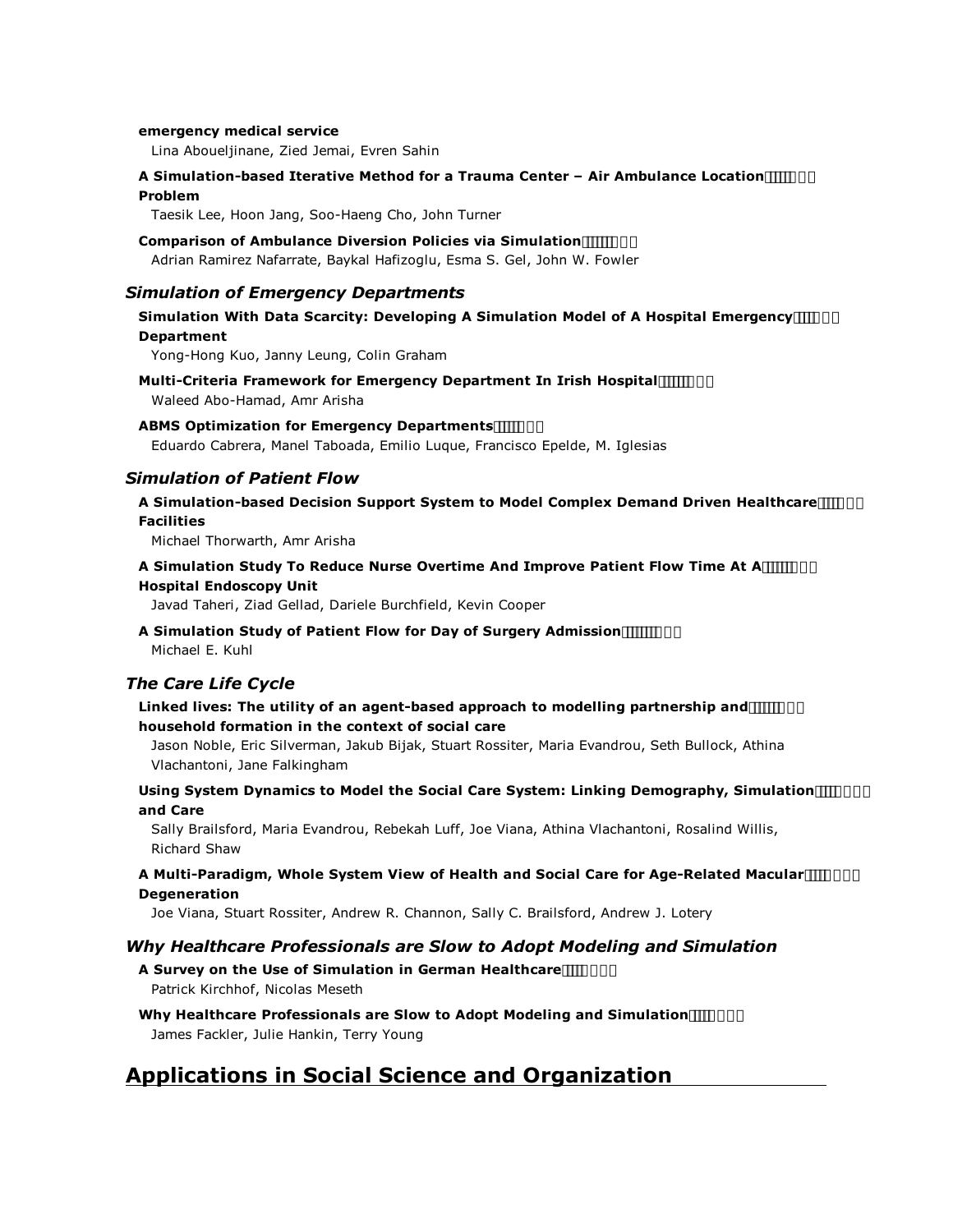#### **emergency medical service**

Lina Aboueljinane, Zied Jemai, Evren Sahin

#### **A Simulation-based Iterative Method for a Trauma Center – Air Ambulance Location Problem**

Taesik Lee, Hoon Jang, Soo-Haeng Cho, John Turner

**Comparison of Ambulance Diversion Policies via Simulation** Adrian Ramirez Nafarrate, Baykal Hafizoglu, Esma S. Gel, John W. Fowler

#### *Simulation of Emergency Departments*

**Simulation With Data Scarcity: Developing A Simulation Model of A Hospital Emergency Department**

Yong-Hong Kuo, Janny Leung, Colin Graham

**Multi-Criteria Framework for Emergency Department In Irish Hospital** Waleed Abo-Hamad, Amr Arisha

**ABMS Optimization for Emergency Departments** Eduardo Cabrera, Manel Taboada, Emilio Luque, Francisco Epelde, M. Iglesias

#### *Simulation of Patient Flow*

#### **A Simulation-based Decision Support System to Model Complex Demand Driven Healthcare Facilities**

Michael Thorwarth, Amr Arisha

**A Simulation Study To Reduce Nurse Overtime And Improve Patient Flow Time At A Hospital Endoscopy Unit**

Javad Taheri, Ziad Gellad, Dariele Burchfield, Kevin Cooper

**A Simulation Study of Patient Flow for Day of Surgery Admission** Michael E. Kuhl

#### *The Care Life Cycle*

#### **Linked lives: The utility of an agent-based approach to modelling partnership and household formation in the context of social care**

Jason Noble, Eric Silverman, Jakub Bijak, Stuart Rossiter, Maria Evandrou, Seth Bullock, Athina Vlachantoni, Jane Falkingham

#### **Using System Dynamics to Model the Social Care System: Linking Demography, Simulation and Care**

Sally Brailsford, Maria Evandrou, Rebekah Luff, Joe Viana, Athina Vlachantoni, Rosalind Willis, Richard Shaw

#### **A Multi-Paradigm, Whole System View of Health and Social Care for Age-Related Macular Degeneration**

Joe Viana, Stuart Rossiter, Andrew R. Channon, Sally C. Brailsford, Andrew J. Lotery

#### *Why Healthcare Professionals are Slow to Adopt Modeling and Simulation*

- **A Survey on the Use of Simulation in German Healthcare** Patrick Kirchhof, Nicolas Meseth
- **Why Healthcare Professionals are Slow to Adopt Modeling and Simulation** James Fackler, Julie Hankin, Terry Young

# **Applications in Social Science and Organization**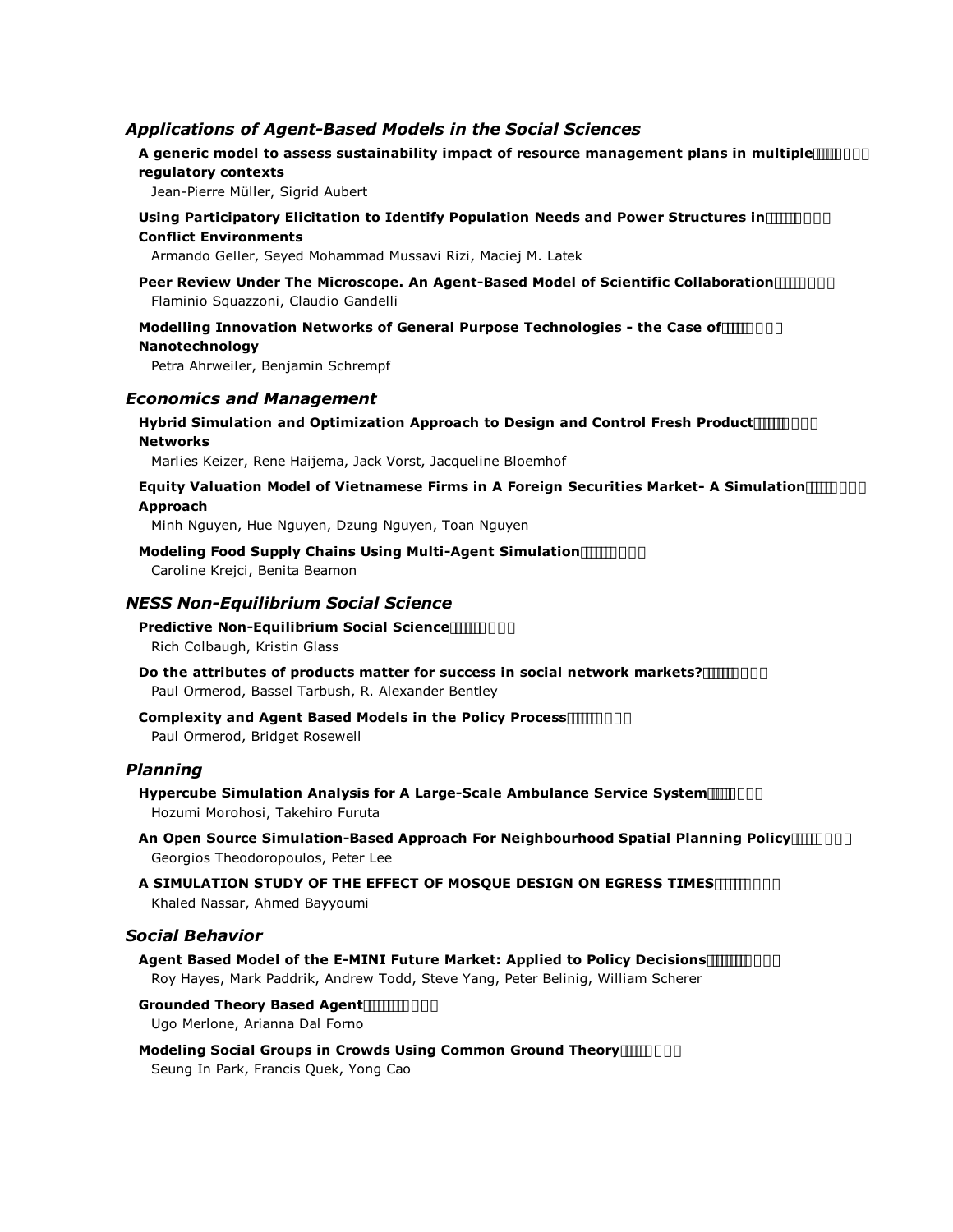#### *Applications of Agent-Based Models in the Social Sciences*

**A generic model to assess sustainability impact of resource management plans in multiple regulatory contexts**

Jean-Pierre Müller, Sigrid Aubert

#### **Using Participatory Elicitation to Identify Population Needs and Power Structures in Conflict Environments**

Armando Geller, Seyed Mohammad Mussavi Rizi, Maciej M. Latek

**Peer Review Under The Microscope. An Agent-Based Model of Scientific Collaboration** Flaminio Squazzoni, Claudio Gandelli

#### **Modelling Innovation Networks of General Purpose Technologies - the Case of Nanotechnology**

Petra Ahrweiler, Benjamin Schrempf

#### *Economics and Management*

**Hybrid Simulation and Optimization Approach to Design and Control Fresh Product Networks**

Marlies Keizer, Rene Haijema, Jack Vorst, Jacqueline Bloemhof

**Equity Valuation Model of Vietnamese Firms in A Foreign Securities Market- A Simulation Approach**

Minh Nguyen, Hue Nguyen, Dzung Nguyen, Toan Nguyen

**Modeling Food Supply Chains Using Multi-Agent Simulation** Caroline Krejci, Benita Beamon

#### *NESS Non-Equilibrium Social Science*

- **Predictive Non-Equilibrium Social Science** Rich Colbaugh, Kristin Glass
- **Do the attributes of products matter for success in social network markets?** Paul Ormerod, Bassel Tarbush, R. Alexander Bentley
- **Complexity and Agent Based Models in the Policy Process** Paul Ormerod, Bridget Rosewell

#### *Planning*

- **Hypercube Simulation Analysis for A Large-Scale Ambulance Service System** Hozumi Morohosi, Takehiro Furuta
- **An Open Source Simulation-Based Approach For Neighbourhood Spatial Planning Policy** Georgios Theodoropoulos, Peter Lee
- **A SIMULATION STUDY OF THE EFFECT OF MOSQUE DESIGN ON EGRESS TIMES** Khaled Nassar, Ahmed Bayyoumi

#### *Social Behavior*

**Agent Based Model of the E-MINI Future Market: Applied to Policy Decisions** Roy Hayes, Mark Paddrik, Andrew Todd, Steve Yang, Peter Belinig, William Scherer

#### **Grounded Theory Based Agent**

Ugo Merlone, Arianna Dal Forno

**Modeling Social Groups in Crowds Using Common Ground Theory** Seung In Park, Francis Quek, Yong Cao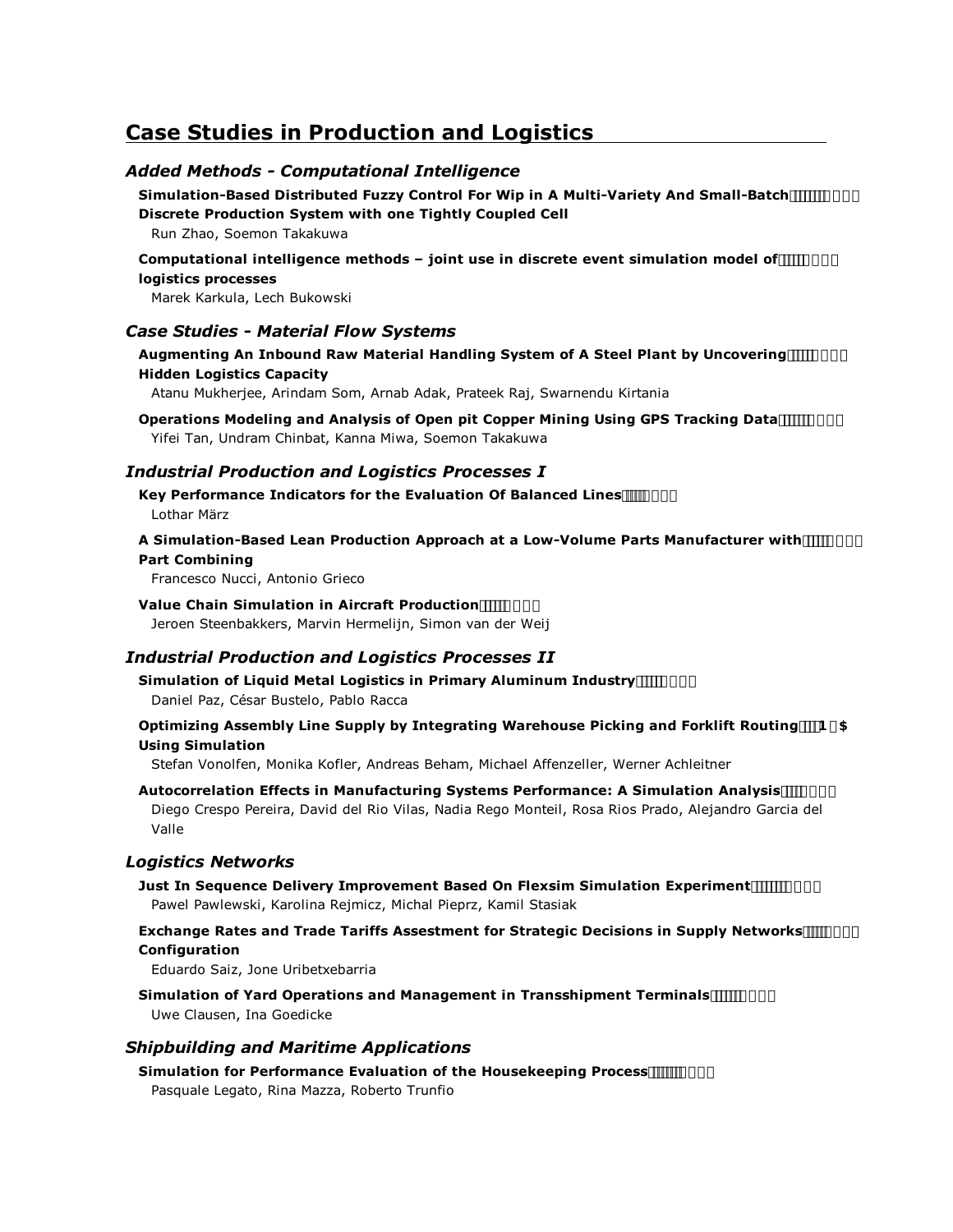# **Case Studies in Production and Logistics**

#### *Added Methods - Computational Intelligence*

**Simulation-Based Distributed Fuzzy Control For Wip in A Multi-Variety And Small-Batch Discrete Production System with one Tightly Coupled Cell**

Run Zhao, Soemon Takakuwa

#### **Computational intelligence methods – joint use in discrete event simulation model of logistics processes**

Marek Karkula, Lech Bukowski

#### *Case Studies - Material Flow Systems*

## **Augmenting An Inbound Raw Material Handling System of A Steel Plant by Uncovering Hidden Logistics Capacity**

Atanu Mukherjee, Arindam Som, Arnab Adak, Prateek Raj, Swarnendu Kirtania

**Operations Modeling and Analysis of Open pit Copper Mining Using GPS Tracking Data** Yifei Tan, Undram Chinbat, Kanna Miwa, Soemon Takakuwa

#### *Industrial Production and Logistics Processes I*

**Key Performance Indicators for the Evaluation Of Balanced Lines** Lothar März

**A Simulation-Based Lean Production Approach at a Low-Volume Parts Manufacturer with Part Combining**

Francesco Nucci, Antonio Grieco

**Value Chain Simulation in Aircraft Production** Jeroen Steenbakkers, Marvin Hermelijn, Simon van der Weij

#### *Industrial Production and Logistics Processes II*

**Simulation of Liquid Metal Logistics in Primary Aluminum Industry** Daniel Paz, César Bustelo, Pablo Racca

#### **Optimizing Assembly Line Supply by Integrating Warehouse Picking and Forklift Routing1\$ Using Simulation**

Stefan Vonolfen, Monika Kofler, Andreas Beham, Michael Affenzeller, Werner Achleitner

**Autocorrelation Effects in Manufacturing Systems Performance: A Simulation Analysis** Diego Crespo Pereira, David del Rio Vilas, Nadia Rego Monteil, Rosa Rios Prado, Alejandro Garcia del Valle

#### *Logistics Networks*

**Just In Sequence Delivery Improvement Based On Flexsim Simulation Experiment** Pawel Pawlewski, Karolina Rejmicz, Michal Pieprz, Kamil Stasiak

#### **Exchange Rates and Trade Tariffs Assestment for Strategic Decisions in Supply Networks Configuration**

Eduardo Saiz, Jone Uribetxebarria

#### **Simulation of Yard Operations and Management in Transshipment Terminals** Uwe Clausen, Ina Goedicke

#### *Shipbuilding and Maritime Applications*

**Simulation for Performance Evaluation of the Housekeeping Process** Pasquale Legato, Rina Mazza, Roberto Trunfio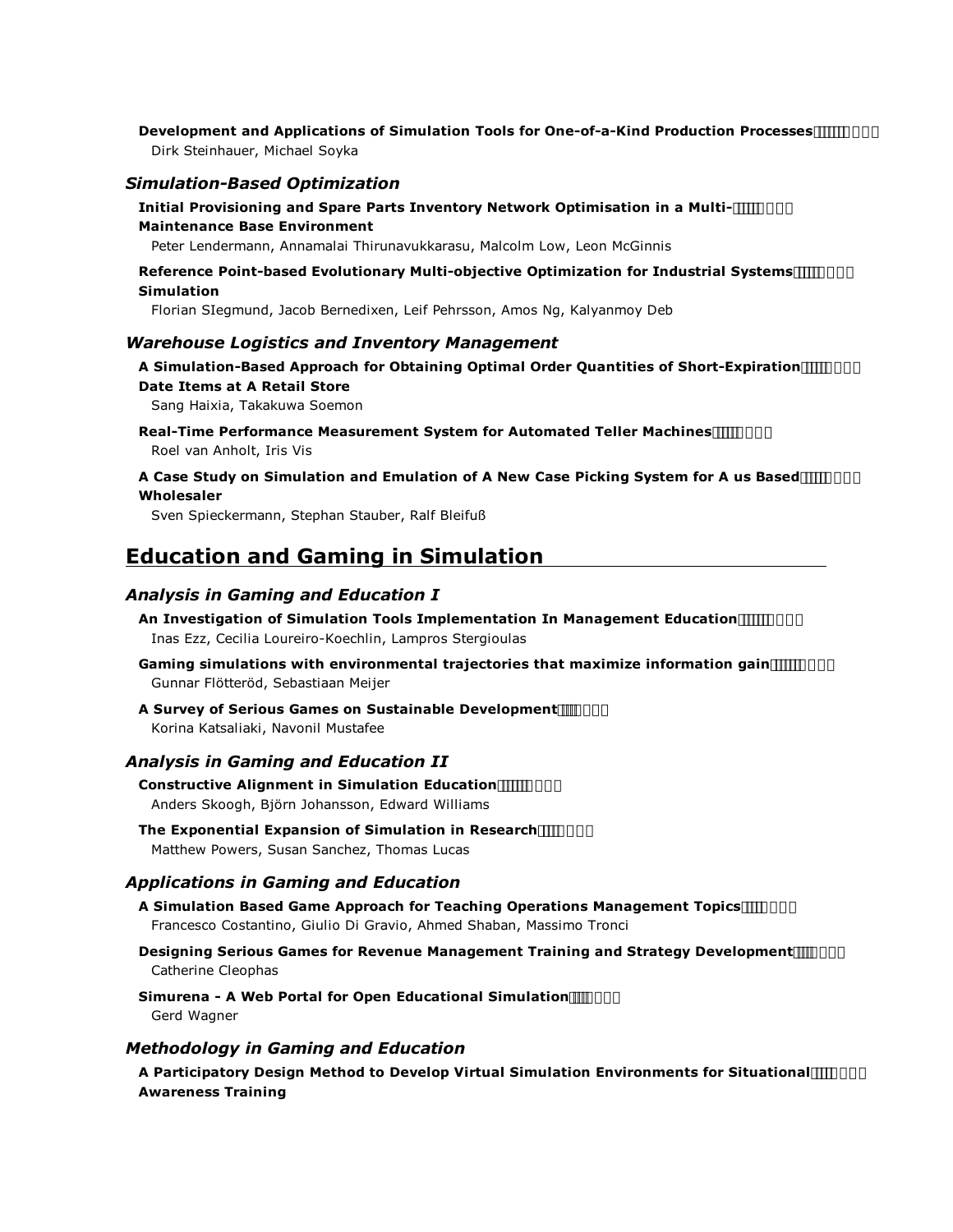**Development and Applications of Simulation Tools for One-of-a-Kind Production Processes** Dirk Steinhauer, Michael Soyka

#### *Simulation-Based Optimization*

**Initial Provisioning and Spare Parts Inventory Network Optimisation in a Multi- Maintenance Base Environment**

Peter Lendermann, Annamalai Thirunavukkarasu, Malcolm Low, Leon McGinnis

#### **Reference Point-based Evolutionary Multi-objective Optimization for Industrial Systems Simulation**

Florian SIegmund, Jacob Bernedixen, Leif Pehrsson, Amos Ng, Kalyanmoy Deb

#### *Warehouse Logistics and Inventory Management*

**A Simulation-Based Approach for Obtaining Optimal Order Quantities of Short-Expiration Date Items at A Retail Store**

Sang Haixia, Takakuwa Soemon

**Real-Time Performance Measurement System for Automated Teller Machines** Roel van Anholt, Iris Vis

#### **A Case Study on Simulation and Emulation of A New Case Picking System for A us Based Wholesaler**

Sven Spieckermann, Stephan Stauber, Ralf Bleifuß

# **Education and Gaming in Simulation**

#### *Analysis in Gaming and Education I*

- **An Investigation of Simulation Tools Implementation In Management Education** Inas Ezz, Cecilia Loureiro-Koechlin, Lampros Stergioulas
- **Gaming simulations with environmental trajectories that maximize information gain** Gunnar Flötteröd, Sebastiaan Meijer
- **A Survey of Serious Games on Sustainable Development** Korina Katsaliaki, Navonil Mustafee

#### *Analysis in Gaming and Education II*

- **Constructive Alignment in Simulation Education** Anders Skoogh, Björn Johansson, Edward Williams
- **The Exponential Expansion of Simulation in Research** Matthew Powers, Susan Sanchez, Thomas Lucas

#### *Applications in Gaming and Education*

**A Simulation Based Game Approach for Teaching Operations Management Topics** Francesco Costantino, Giulio Di Gravio, Ahmed Shaban, Massimo Tronci

**Designing Serious Games for Revenue Management Training and Strategy Development**  $\cdots$  % \$-Catherine Cleophas

#### **Simurena - A Web Portal for Open Educational Simulation** Gerd Wagner

#### *Methodology in Gaming and Education*

**A Participatory Design Method to Develop Virtual Simulation Environments for Situational Awareness Training**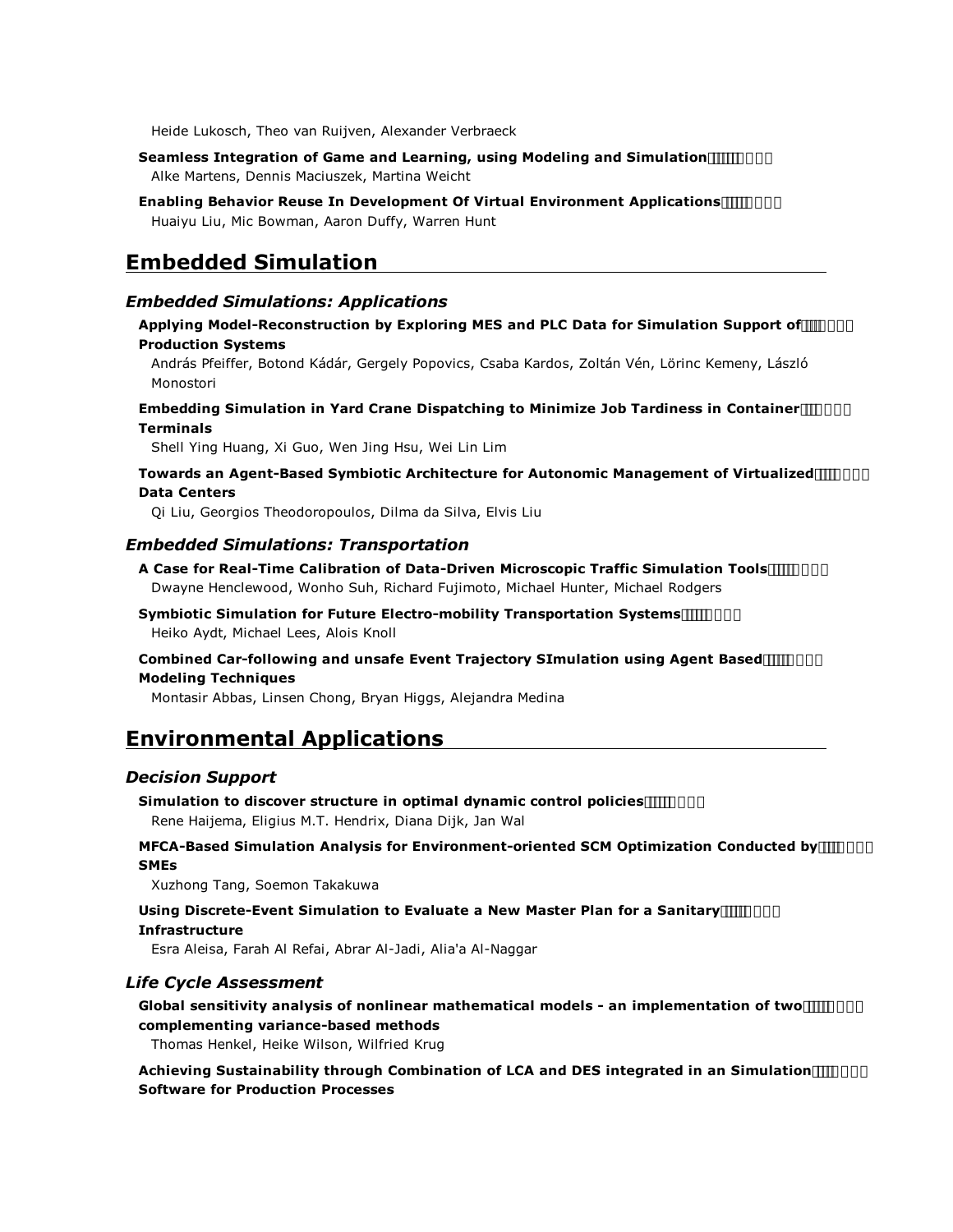Heide Lukosch, Theo van Ruijven, Alexander Verbraeck

- **Seamless Integration of Game and Learning, using Modeling and Simulation** Alke Martens, Dennis Maciuszek, Martina Weicht
- **Enabling Behavior Reuse In Development Of Virtual Environment Applications** Huaiyu Liu, Mic Bowman, Aaron Duffy, Warren Hunt

# **Embedded Simulation**

#### *Embedded Simulations: Applications*

**Applying Model-Reconstruction by Exploring MES and PLC Data for Simulation Support of Production Systems**

András Pfeiffer, Botond Kádár, Gergely Popovics, Csaba Kardos, Zoltán Vén, Lörinc Kemeny, László Monostori

#### **Embedding Simulation in Yard Crane Dispatching to Minimize Job Tardiness in Container Terminals**

Shell Ying Huang, Xi Guo, Wen Jing Hsu, Wei Lin Lim

**Towards an Agent-Based Symbiotic Architecture for Autonomic Management of Virtualized Data Centers**

Qi Liu, Georgios Theodoropoulos, Dilma da Silva, Elvis Liu

#### *Embedded Simulations: Transportation*

- **A Case for Real-Time Calibration of Data-Driven Microscopic Traffic Simulation Tools** Dwayne Henclewood, Wonho Suh, Richard Fujimoto, Michael Hunter, Michael Rodgers
- **Symbiotic Simulation for Future Electro-mobility Transportation Systems** Heiko Aydt, Michael Lees, Alois Knoll

#### **Combined Car-following and unsafe Event Trajectory SImulation using Agent Based Modeling Techniques**

Montasir Abbas, Linsen Chong, Bryan Higgs, Alejandra Medina

# **Environmental Applications**

#### *Decision Support*

**Simulation to discover structure in optimal dynamic control policies**

Rene Haijema, Eligius M.T. Hendrix, Diana Dijk, Jan Wal

#### **MFCA-Based Simulation Analysis for Environment-oriented SCM Optimization Conducted by SMEs**

Xuzhong Tang, Soemon Takakuwa

#### **Using Discrete-Event Simulation to Evaluate a New Master Plan for a Sanitary Infrastructure**

Esra Aleisa, Farah Al Refai, Abrar Al-Jadi, Alia'a Al-Naggar

#### *Life Cycle Assessment*

#### **Global sensitivity analysis of nonlinear mathematical models - an implementation of two complementing variance-based methods**

Thomas Henkel, Heike Wilson, Wilfried Krug

**Achieving Sustainability through Combination of LCA and DES integrated in an Simulation Software for Production Processes**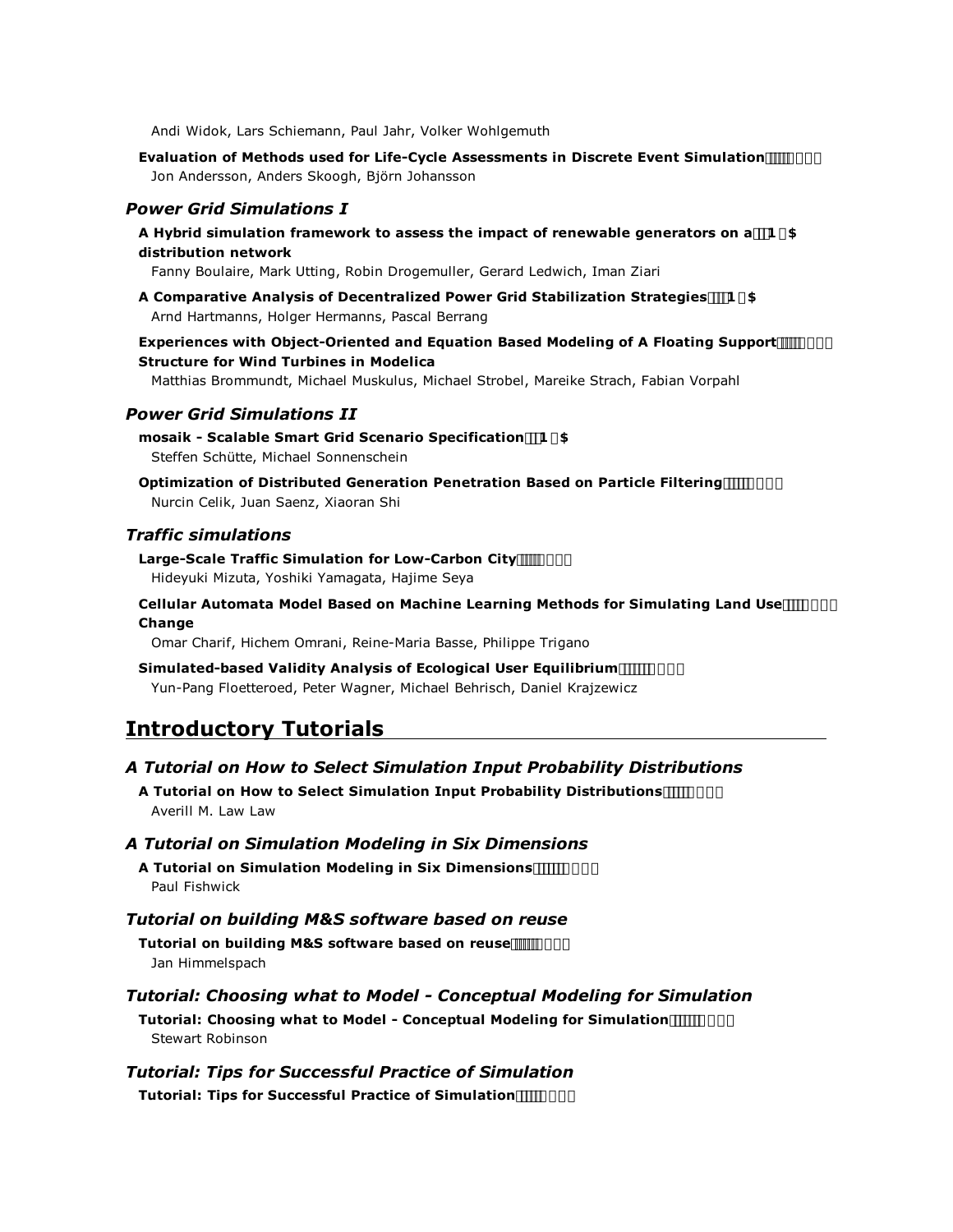Andi Widok, Lars Schiemann, Paul Jahr, Volker Wohlgemuth

**Evaluation of Methods used for Life-Cycle Assessments in Discrete Event Simulation** Jon Andersson, Anders Skoogh, Björn Johansson

#### *Power Grid Simulations I*

A Hybrid simulation framework to assess the impact of renewable generators on a "B#5 **distribution network**

Fanny Boulaire, Mark Utting, Robin Drogemuller, Gerard Ledwich, Iman Ziari

A Comparative Analysis of Decentralized Power Grid Stabilization Strategies **18**#5 Arnd Hartmanns, Holger Hermanns, Pascal Berrang

#### **Experiences with Object-Oriented and Equation Based Modeling of A Floating Support Structure for Wind Turbines in Modelica**

Matthias Brommundt, Michael Muskulus, Michael Strobel, Mareike Strach, Fabian Vorpahl

#### *Power Grid Simulations II*

- **mosaik Scalable Smart Grid Scenario Specification1\$** Steffen Schütte, Michael Sonnenschein
- **Optimization of Distributed Generation Penetration Based on Particle Filtering** Nurcin Celik, Juan Saenz, Xiaoran Shi

#### *Traffic simulations*

- **Large-Scale Traffic Simulation for Low-Carbon City** Hideyuki Mizuta, Yoshiki Yamagata, Hajime Seya
- **Cellular Automata Model Based on Machine Learning Methods for Simulating Land Use Change**

Omar Charif, Hichem Omrani, Reine-Maria Basse, Philippe Trigano

**Simulated-based Validity Analysis of Ecological User Equilibrium**

Yun-Pang Floetteroed, Peter Wagner, Michael Behrisch, Daniel Krajzewicz

## **Introductory Tutorials**

#### *A Tutorial on How to Select Simulation Input Probability Distributions*

**A Tutorial on How to Select Simulation Input Probability Distributions** Averill M. Law Law

#### *A Tutorial on Simulation Modeling in Six Dimensions*

**A Tutorial on Simulation Modeling in Six Dimensions** Paul Fishwick

#### *Tutorial on building M&S software based on reuse*

**Tutorial on building M&S software based on reuse** Jan Himmelspach

#### *Tutorial: Choosing what to Model - Conceptual Modeling for Simulation*

**Tutorial: Choosing what to Model - Conceptual Modeling for Simulation** Stewart Robinson

#### *Tutorial: Tips for Successful Practice of Simulation*

**Tutorial: Tips for Successful Practice of Simulation**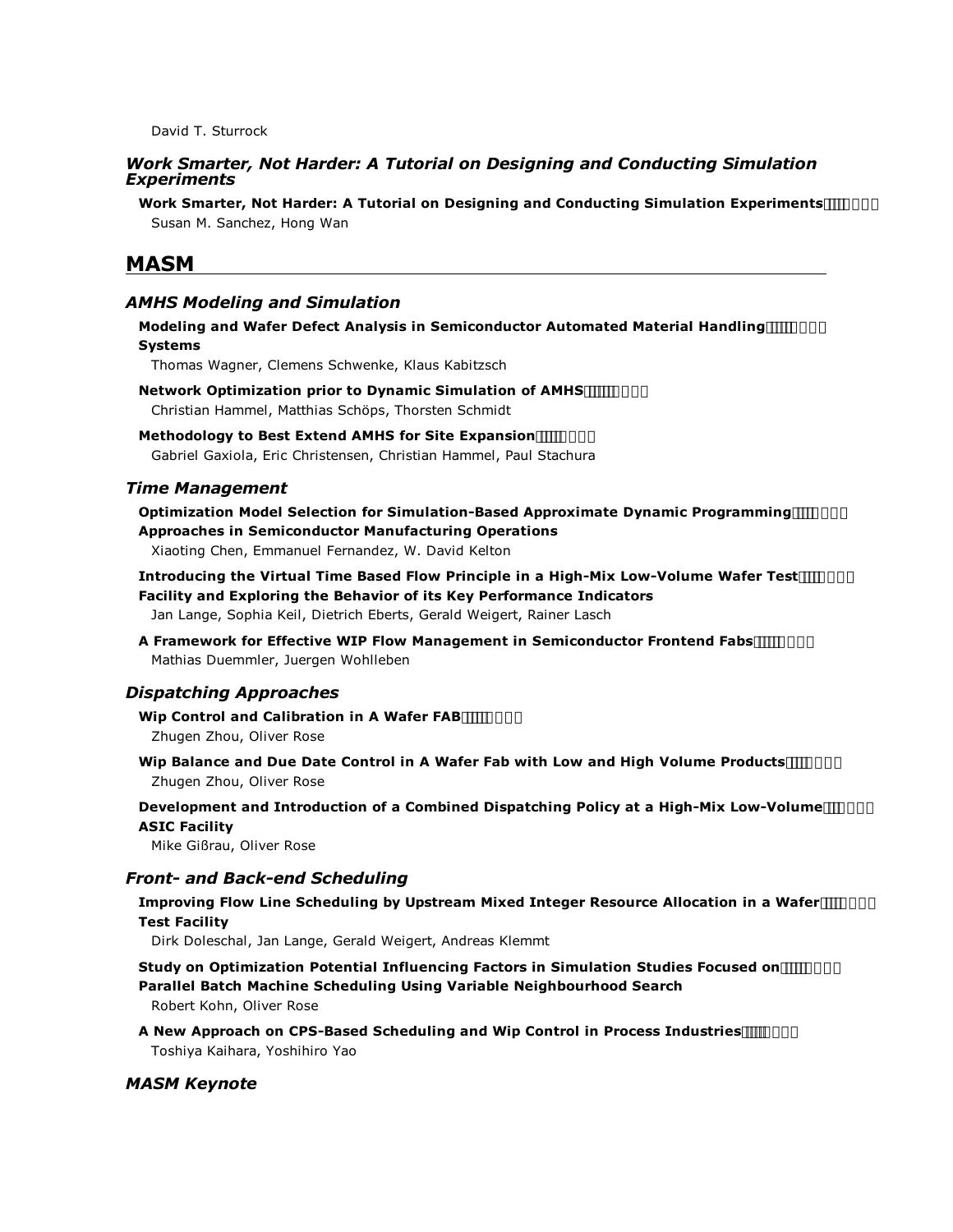David T. Sturrock

#### *Work Smarter, Not Harder: A Tutorial on Designing and Conducting Simulation Experiments*

**Work Smarter, Not Harder: A Tutorial on Designing and Conducting Simulation Experiments** Susan M. Sanchez, Hong Wan

## **MASM**

#### *AMHS Modeling and Simulation*

#### **Modeling and Wafer Defect Analysis in Semiconductor Automated Material Handling Systems**

Thomas Wagner, Clemens Schwenke, Klaus Kabitzsch

- **Network Optimization prior to Dynamic Simulation of AMHS** Christian Hammel, Matthias Schöps, Thorsten Schmidt
- **Methodology to Best Extend AMHS for Site Expansion** Gabriel Gaxiola, Eric Christensen, Christian Hammel, Paul Stachura

#### *Time Management*

**Optimization Model Selection for Simulation-Based Approximate Dynamic Programming Approaches in Semiconductor Manufacturing Operations** Xiaoting Chen, Emmanuel Fernandez, W. David Kelton

**Introducing the Virtual Time Based Flow Principle in a High-Mix Low-Volume Wafer Test Facility and Exploring the Behavior of its Key Performance Indicators** Jan Lange, Sophia Keil, Dietrich Eberts, Gerald Weigert, Rainer Lasch

**A Framework for Effective WIP Flow Management in Semiconductor Frontend Fabs** Mathias Duemmler, Juergen Wohlleben

#### *Dispatching Approaches*

**Wip Control and Calibration in A Wafer FAB** Zhugen Zhou, Oliver Rose

**Wip Balance and Due Date Control in A Wafer Fab with Low and High Volume Products** Zhugen Zhou, Oliver Rose

**Development and Introduction of a Combined Dispatching Policy at a High-Mix Low-Volume ASIC Facility**

Mike Gißrau, Oliver Rose

#### *Front- and Back-end Scheduling*

**Improving Flow Line Scheduling by Upstream Mixed Integer Resource Allocation in a Wafer Test Facility**

Dirk Doleschal, Jan Lange, Gerald Weigert, Andreas Klemmt

**Study on Optimization Potential Influencing Factors in Simulation Studies Focused on Parallel Batch Machine Scheduling Using Variable Neighbourhood Search**

Robert Kohn, Oliver Rose

**A New Approach on CPS-Based Scheduling and Wip Control in Process Industries** Toshiya Kaihara, Yoshihiro Yao

#### *MASM Keynote*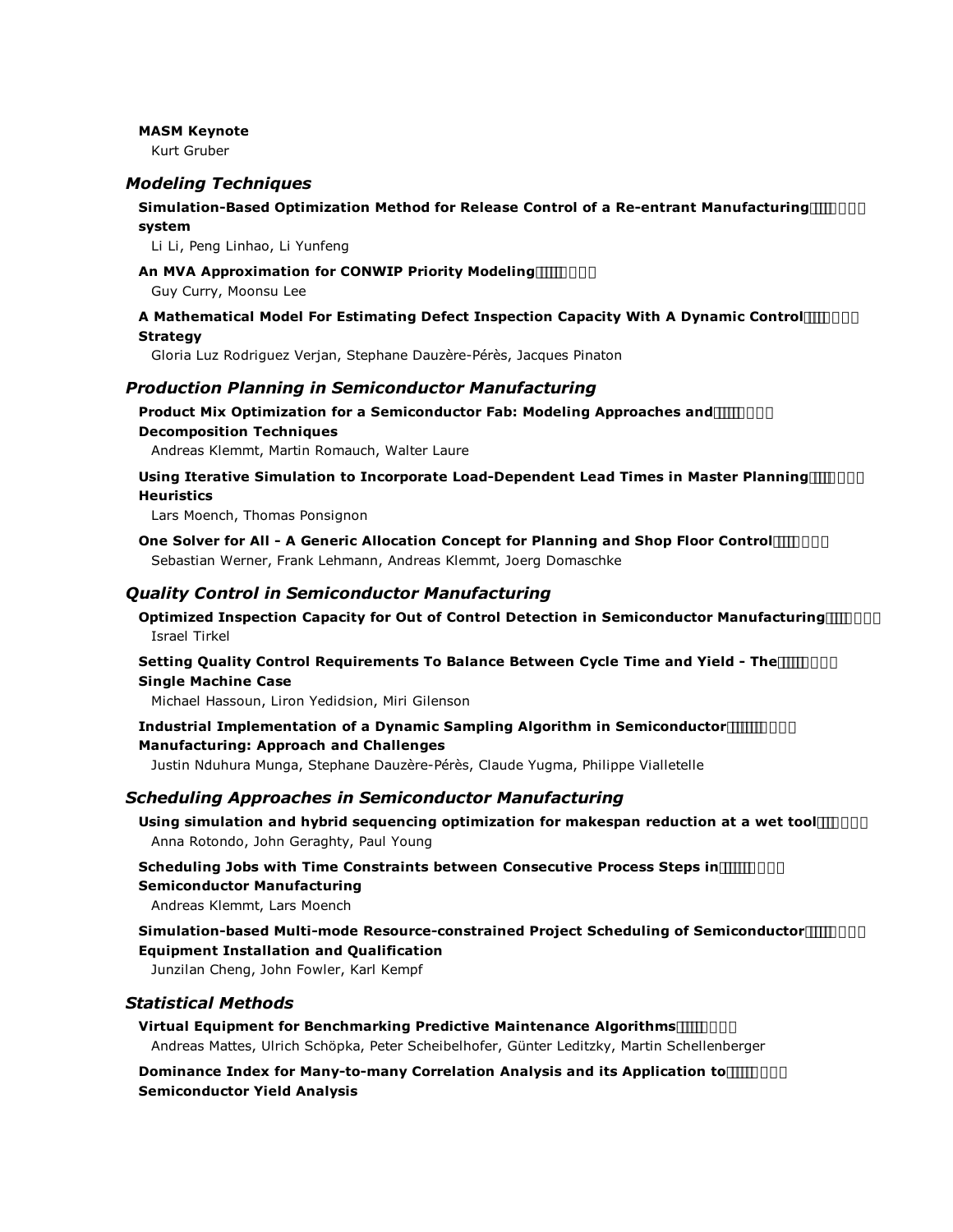**MASM Keynote**

Kurt Gruber

#### *Modeling Techniques*

#### **Simulation-Based Optimization Method for Release Control of a Re-entrant Manufacturing system**

Li Li, Peng Linhao, Li Yunfeng

#### **An MVA Approximation for CONWIP Priority Modeling**

Guy Curry, Moonsu Lee

#### **A Mathematical Model For Estimating Defect Inspection Capacity With A Dynamic Control Strategy**

Gloria Luz Rodriguez Verjan, Stephane Dauzère-Pérès, Jacques Pinaton

#### *Production Planning in Semiconductor Manufacturing*

#### **Product Mix Optimization for a Semiconductor Fab: Modeling Approaches and Decomposition Techniques**

Andreas Klemmt, Martin Romauch, Walter Laure

#### **Using Iterative Simulation to Incorporate Load-Dependent Lead Times in Master Planning Heuristics**

Lars Moench, Thomas Ponsignon

**One Solver for All - A Generic Allocation Concept for Planning and Shop Floor Control** Sebastian Werner, Frank Lehmann, Andreas Klemmt, Joerg Domaschke

#### *Quality Control in Semiconductor Manufacturing*

**Optimized Inspection Capacity for Out of Control Detection in Semiconductor Manufacturing** Israel Tirkel

#### **Setting Quality Control Requirements To Balance Between Cycle Time and Yield - The Single Machine Case**

Michael Hassoun, Liron Yedidsion, Miri Gilenson

#### **Industrial Implementation of a Dynamic Sampling Algorithm in Semiconductor Manufacturing: Approach and Challenges**

Justin Nduhura Munga, Stephane Dauzère-Pérès, Claude Yugma, Philippe Vialletelle

#### *Scheduling Approaches in Semiconductor Manufacturing*

**Using simulation and hybrid sequencing optimization for makespan reduction at a wet tool** Anna Rotondo, John Geraghty, Paul Young

#### **Scheduling Jobs with Time Constraints between Consecutive Process Steps in**

#### **Semiconductor Manufacturing**

Andreas Klemmt, Lars Moench

#### **Simulation-based Multi-mode Resource-constrained Project Scheduling of Semiconductor Equipment Installation and Qualification**

Junzilan Cheng, John Fowler, Karl Kempf

#### *Statistical Methods*

**Virtual Equipment for Benchmarking Predictive Maintenance Algorithms** Andreas Mattes, Ulrich Schöpka, Peter Scheibelhofer, Günter Leditzky, Martin Schellenberger

#### **Dominance Index for Many-to-many Correlation Analysis and its Application to Semiconductor Yield Analysis**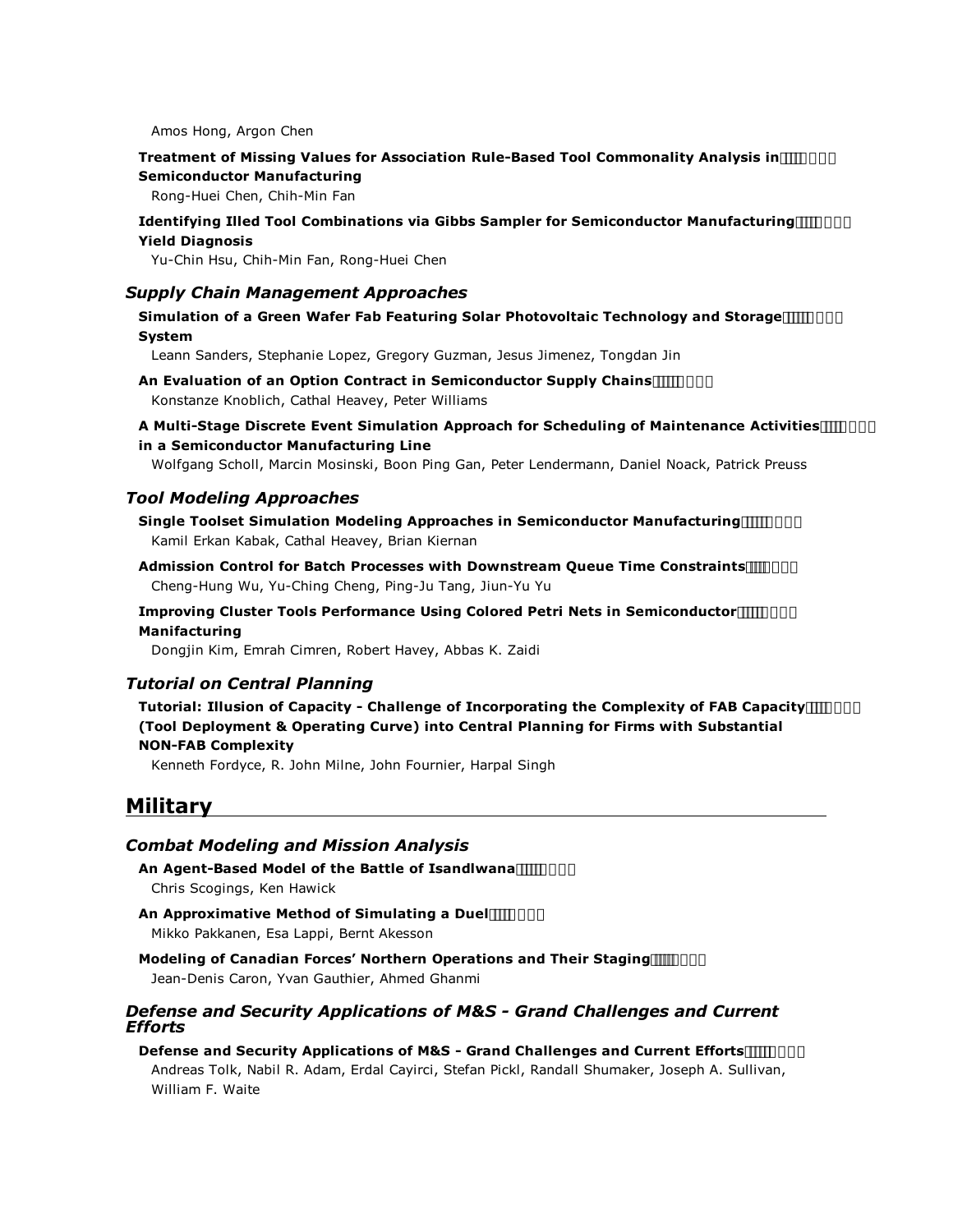Amos Hong, Argon Chen

#### **Treatment of Missing Values for Association Rule-Based Tool Commonality Analysis in Semiconductor Manufacturing**

Rong-Huei Chen, Chih-Min Fan

#### **Identifying Illed Tool Combinations via Gibbs Sampler for Semiconductor Manufacturing Yield Diagnosis**

Yu-Chin Hsu, Chih-Min Fan, Rong-Huei Chen

#### *Supply Chain Management Approaches*

**Simulation of a Green Wafer Fab Featuring Solar Photovoltaic Technology and Storage System**

Leann Sanders, Stephanie Lopez, Gregory Guzman, Jesus Jimenez, Tongdan Jin

**An Evaluation of an Option Contract in Semiconductor Supply Chains** Konstanze Knoblich, Cathal Heavey, Peter Williams

#### **A Multi-Stage Discrete Event Simulation Approach for Scheduling of Maintenance Activities in a Semiconductor Manufacturing Line**

Wolfgang Scholl, Marcin Mosinski, Boon Ping Gan, Peter Lendermann, Daniel Noack, Patrick Preuss

#### *Tool Modeling Approaches*

**Single Toolset Simulation Modeling Approaches in Semiconductor Manufacturing** Kamil Erkan Kabak, Cathal Heavey, Brian Kiernan

**Admission Control for Batch Processes with Downstream Queue Time Constraints** Cheng-Hung Wu, Yu-Ching Cheng, Ping-Ju Tang, Jiun-Yu Yu

#### **Improving Cluster Tools Performance Using Colored Petri Nets in Semiconductor Manifacturing**

Dongjin Kim, Emrah Cimren, Robert Havey, Abbas K. Zaidi

## *Tutorial on Central Planning*

**Tutorial: Illusion of Capacity - Challenge of Incorporating the Complexity of FAB Capacity (Tool Deployment & Operating Curve) into Central Planning for Firms with Substantial NON-FAB Complexity**

Kenneth Fordyce, R. John Milne, John Fournier, Harpal Singh

# **Military**

#### *Combat Modeling and Mission Analysis*

**An Agent-Based Model of the Battle of Isandlwana** Chris Scogings, Ken Hawick

**An Approximative Method of Simulating a Duel** Mikko Pakkanen, Esa Lappi, Bernt Akesson

**Modeling of Canadian Forces' Northern Operations and Their Staging** Jean-Denis Caron, Yvan Gauthier, Ahmed Ghanmi

#### *Defense and Security Applications of M&S - Grand Challenges and Current Efforts*

**Defense and Security Applications of M&S - Grand Challenges and Current Efforts** Andreas Tolk, Nabil R. Adam, Erdal Cayirci, Stefan Pickl, Randall Shumaker, Joseph A. Sullivan, William F. Waite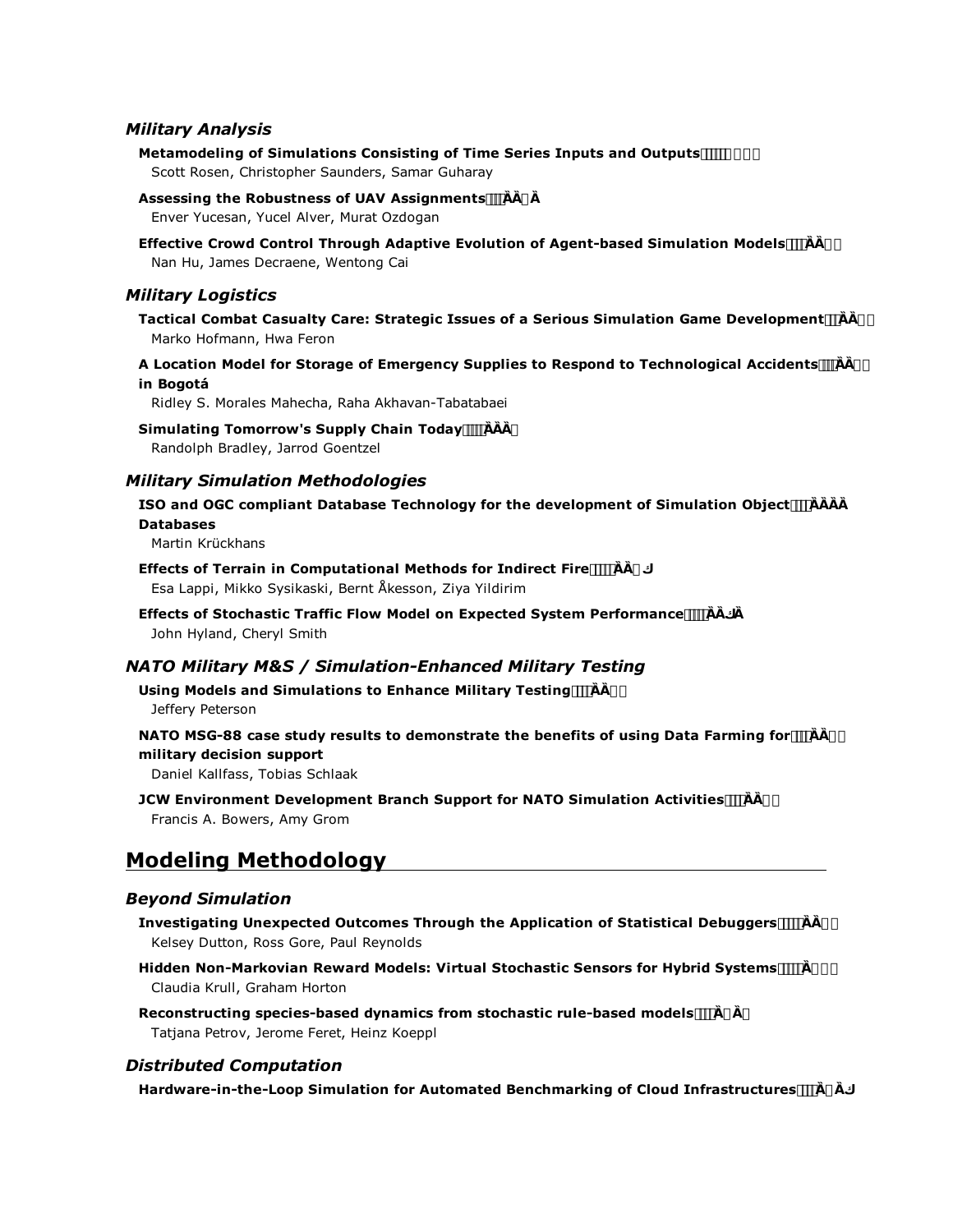#### *Military Analysis*

**Metamodeling of Simulations Consisting of Time Series Inputs and Outputs** Scott Rosen, Christopher Saunders, Samar Guharay

**Assessing the Robustness of UAV Assignments**

Enver Yucesan, Yucel Alver, Murat Ozdogan

**Effective Crowd Control Through Adaptive Evolution of Agent-based Simulation Models** Nan Hu, James Decraene, Wentong Cai

#### *Military Logistics*

**Tactical Combat Casualty Care: Strategic Issues of a Serious Simulation Game Development** Marko Hofmann, Hwa Feron

**A Location Model for Storage of Emergency Supplies to Respond to Technological Accidents in Bogotá**

Ridley S. Morales Mahecha, Raha Akhavan-Tabatabaei

**Simulating Tomorrow's Supply Chain Today** Randolph Bradley, Jarrod Goentzel

#### *Military Simulation Methodologies*

**ISO and OGC compliant Database Technology for the development of Simulation Object Databases**

Martin Krückhans

**Effects of Terrain in Computational Methods for Indirect Fire** Esa Lappi, Mikko Sysikaski, Bernt Åkesson, Ziya Yildirim

**Effects of Stochastic Traffic Flow Model on Expected System Performance** John Hyland, Cheryl Smith

#### *NATO Military M&S / Simulation-Enhanced Military Testing*

**Using Models and Simulations to Enhance Military Testing** Jeffery Peterson

**NATO MSG-88 case study results to demonstrate the benefits of using Data Farming for military decision support**

Daniel Kallfass, Tobias Schlaak

**JCW Environment Development Branch Support for NATO Simulation Activities** Francis A. Bowers, Amy Grom

## **Modeling Methodology**

#### *Beyond Simulation*

- **Investigating Unexpected Outcomes Through the Application of Statistical Debuggers** Kelsey Dutton, Ross Gore, Paul Reynolds
- **Hidden Non-Markovian Reward Models: Virtual Stochastic Sensors for Hybrid Systems** Claudia Krull, Graham Horton
- **Reconstructing species-based dynamics from stochastic rule-based models** Tatjana Petrov, Jerome Feret, Heinz Koeppl

#### *Distributed Computation*

**Hardware-in-the-Loop Simulation for Automated Benchmarking of Cloud Infrastructures**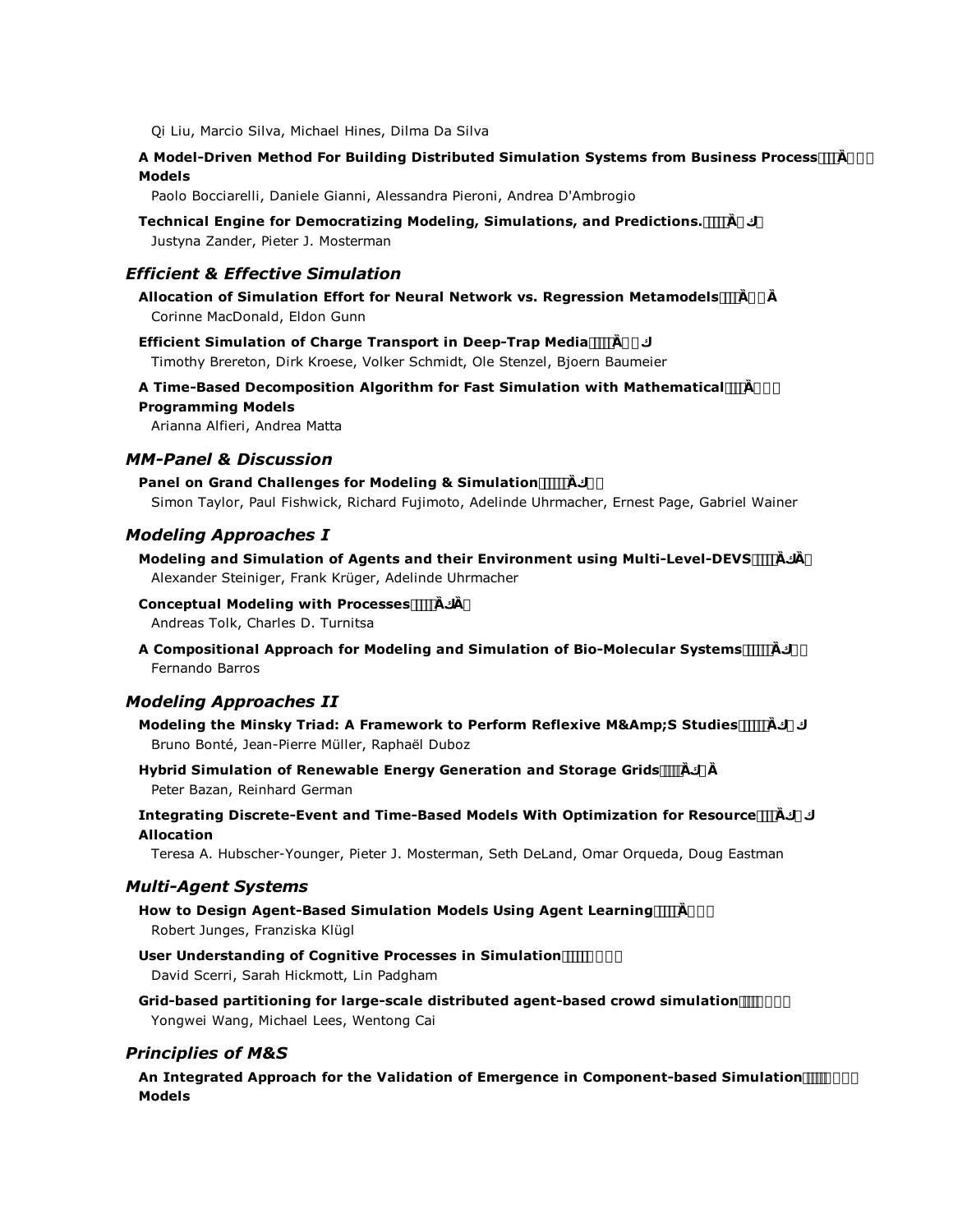Qi Liu, Marcio Silva, Michael Hines, Dilma Da Silva

**A Model-Driven Method For Building Distributed Simulation Systems from Business Process Models**

Paolo Bocciarelli, Daniele Gianni, Alessandra Pieroni, Andrea D'Ambrogio

**Technical Engine for Democratizing Modeling, Simulations, and Predictions.** Justyna Zander, Pieter J. Mosterman

#### *Efficient & Effective Simulation*

**Allocation of Simulation Effort for Neural Network vs. Regression Metamodels** Corinne MacDonald, Eldon Gunn

**Efficient Simulation of Charge Transport in Deep-Trap Media** Timothy Brereton, Dirk Kroese, Volker Schmidt, Ole Stenzel, Bjoern Baumeier

**A Time-Based Decomposition Algorithm for Fast Simulation with Mathematical Programming Models**

Arianna Alfieri, Andrea Matta

#### *MM-Panel & Discussion*

**Panel on Grand Challenges for Modeling & Simulation** Simon Taylor, Paul Fishwick, Richard Fujimoto, Adelinde Uhrmacher, Ernest Page, Gabriel Wainer

#### *Modeling Approaches I*

- **Modeling and Simulation of Agents and their Environment using Multi-Level-DEVS** Alexander Steiniger, Frank Krüger, Adelinde Uhrmacher
- **Conceptual Modeling with Processes** Andreas Tolk, Charles D. Turnitsa
- **A Compositional Approach for Modeling and Simulation of Bio-Molecular Systems** Fernando Barros

#### *Modeling Approaches II*

- **Modeling the Minsky Triad: A Framework to Perform Reflexive M&Amp;S Studies** Bruno Bonté, Jean-Pierre Müller, Raphaël Duboz
- **Hybrid Simulation of Renewable Energy Generation and Storage Grids** Peter Bazan, Reinhard German
- **Integrating Discrete-Event and Time-Based Models With Optimization for Resource Allocation**

Teresa A. Hubscher-Younger, Pieter J. Mosterman, Seth DeLand, Omar Orqueda, Doug Eastman

#### *Multi-Agent Systems*

- **How to Design Agent-Based Simulation Models Using Agent Learning** Robert Junges, Franziska Klügl
- **User Understanding of Cognitive Processes in Simulation** David Scerri, Sarah Hickmott, Lin Padgham
- **Grid-based partitioning for large-scale distributed agent-based crowd simulation** Yongwei Wang, Michael Lees, Wentong Cai

#### *Principlies of M&S*

**An Integrated Approach for the Validation of Emergence in Component-based Simulation Models**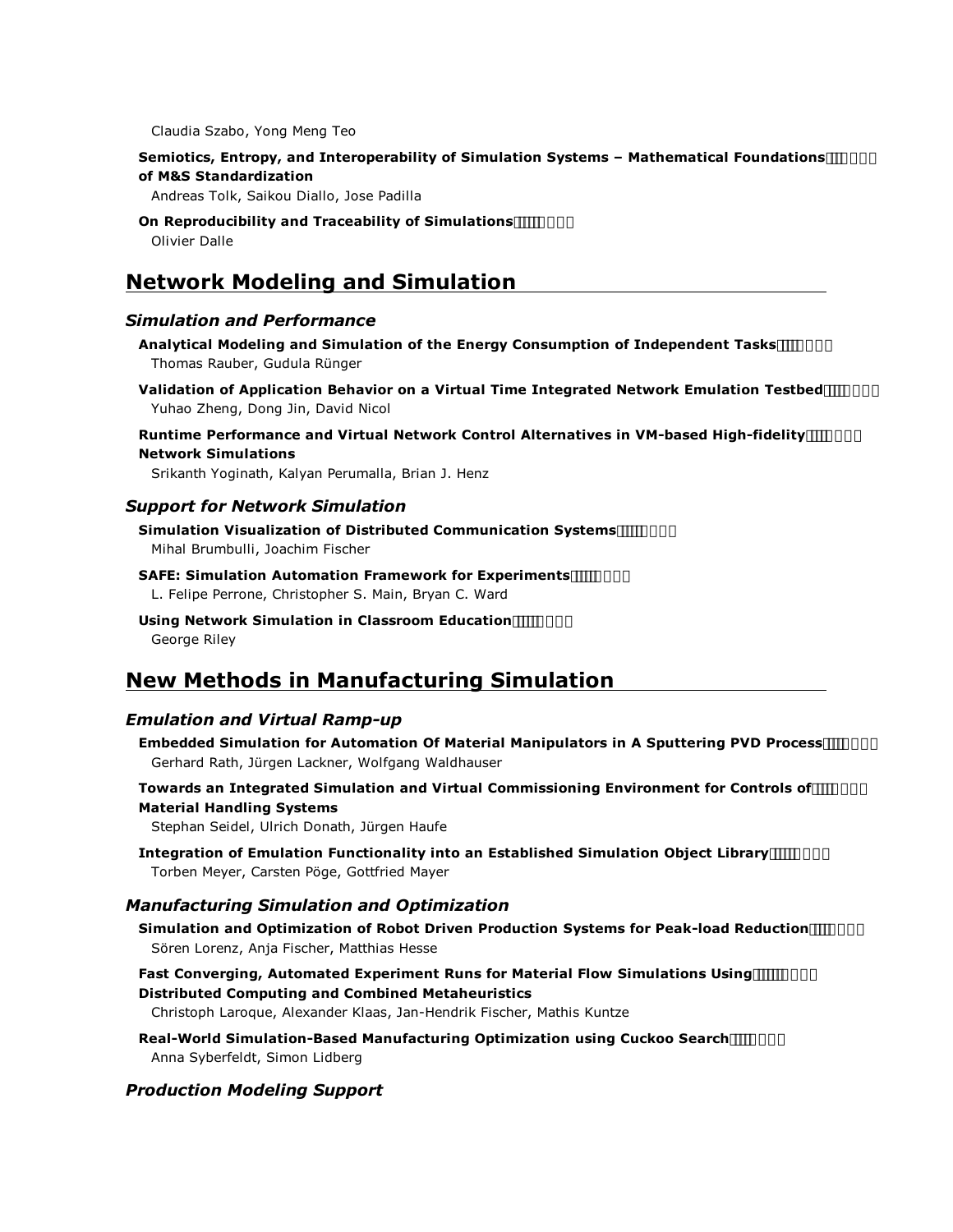Claudia Szabo, Yong Meng Teo

**Semiotics, Entropy, and Interoperability of Simulation Systems – Mathematical Foundations of M&S Standardization**

Andreas Tolk, Saikou Diallo, Jose Padilla

**On Reproducibility and Traceability of Simulations** Olivier Dalle

# **Network Modeling and Simulation**

#### *Simulation and Performance*

- **Analytical Modeling and Simulation of the Energy Consumption of Independent Tasks** Thomas Rauber, Gudula Rünger
- **Validation of Application Behavior on a Virtual Time Integrated Network Emulation Testbed** Yuhao Zheng, Dong Jin, David Nicol
- **Runtime Performance and Virtual Network Control Alternatives in VM-based High-fidelity Network Simulations**

Srikanth Yoginath, Kalyan Perumalla, Brian J. Henz

#### *Support for Network Simulation*

**Simulation Visualization of Distributed Communication Systems** Mihal Brumbulli, Joachim Fischer

**SAFE: Simulation Automation Framework for Experiments**

L. Felipe Perrone, Christopher S. Main, Bryan C. Ward

**Using Network Simulation in Classroom Education** George Riley

# **New Methods in Manufacturing Simulation**

## *Emulation and Virtual Ramp-up*

- **Embedded Simulation for Automation Of Material Manipulators in A Sputtering PVD Process** Gerhard Rath, Jürgen Lackner, Wolfgang Waldhauser
- **Towards an Integrated Simulation and Virtual Commissioning Environment for Controls of Material Handling Systems**

Stephan Seidel, Ulrich Donath, Jürgen Haufe

**Integration of Emulation Functionality into an Established Simulation Object Library** Torben Meyer, Carsten Pöge, Gottfried Mayer

#### *Manufacturing Simulation and Optimization*

- **Simulation and Optimization of Robot Driven Production Systems for Peak-load Reduction** Sören Lorenz, Anja Fischer, Matthias Hesse
- **Fast Converging, Automated Experiment Runs for Material Flow Simulations Using Distributed Computing and Combined Metaheuristics**

Christoph Laroque, Alexander Klaas, Jan-Hendrik Fischer, Mathis Kuntze

**Real-World Simulation-Based Manufacturing Optimization using Cuckoo Search** Anna Syberfeldt, Simon Lidberg

#### *Production Modeling Support*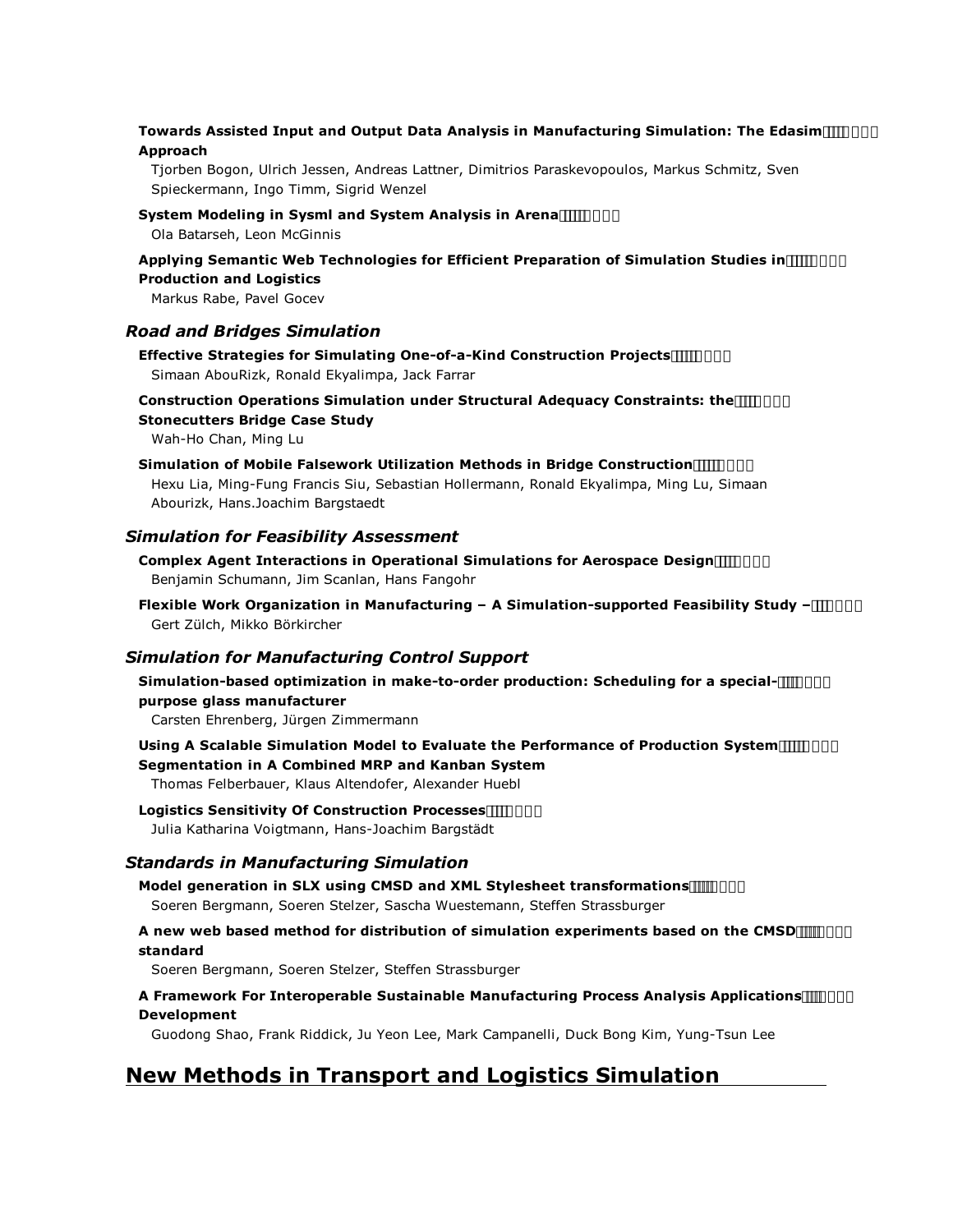#### **Towards Assisted Input and Output Data Analysis in Manufacturing Simulation: The Edasim Approach**

Tjorben Bogon, Ulrich Jessen, Andreas Lattner, Dimitrios Paraskevopoulos, Markus Schmitz, Sven Spieckermann, Ingo Timm, Sigrid Wenzel

#### **System Modeling in Sysml and System Analysis in Arena**

Ola Batarseh, Leon McGinnis

## **Applying Semantic Web Technologies for Efficient Preparation of Simulation Studies in Production and Logistics**

Markus Rabe, Pavel Gocev

#### *Road and Bridges Simulation*

#### **Effective Strategies for Simulating One-of-a-Kind Construction Projects** Simaan AbouRizk, Ronald Ekyalimpa, Jack Farrar

#### **Construction Operations Simulation under Structural Adequacy Constraints: the**

#### **Stonecutters Bridge Case Study**

Wah-Ho Chan, Ming Lu

**Simulation of Mobile Falsework Utilization Methods in Bridge Construction** Hexu Lia, Ming-Fung Francis Siu, Sebastian Hollermann, Ronald Ekyalimpa, Ming Lu, Simaan Abourizk, Hans.Joachim Bargstaedt

#### *Simulation for Feasibility Assessment*

- **Complex Agent Interactions in Operational Simulations for Aerospace Design** Benjamin Schumann, Jim Scanlan, Hans Fangohr
- **Flexible Work Organization in Manufacturing A Simulation-supported Feasibility Study –** Gert Zülch, Mikko Börkircher

#### *Simulation for Manufacturing Control Support*

**Simulation-based optimization in make-to-order production: Scheduling for a special purpose glass manufacturer**

Carsten Ehrenberg, Jürgen Zimmermann

**Using A Scalable Simulation Model to Evaluate the Performance of Production System Segmentation in A Combined MRP and Kanban System**

Thomas Felberbauer, Klaus Altendofer, Alexander Huebl

# **Logistics Sensitivity Of Construction Processes**

Julia Katharina Voigtmann, Hans-Joachim Bargstädt

#### *Standards in Manufacturing Simulation*

**Model generation in SLX using CMSD and XML Stylesheet transformations** Soeren Bergmann, Soeren Stelzer, Sascha Wuestemann, Steffen Strassburger

#### **A new web based method for distribution of simulation experiments based on the CMSD standard**

Soeren Bergmann, Soeren Stelzer, Steffen Strassburger

#### **A Framework For Interoperable Sustainable Manufacturing Process Analysis Applications Development**

Guodong Shao, Frank Riddick, Ju Yeon Lee, Mark Campanelli, Duck Bong Kim, Yung-Tsun Lee

# **New Methods in Transport and Logistics Simulation**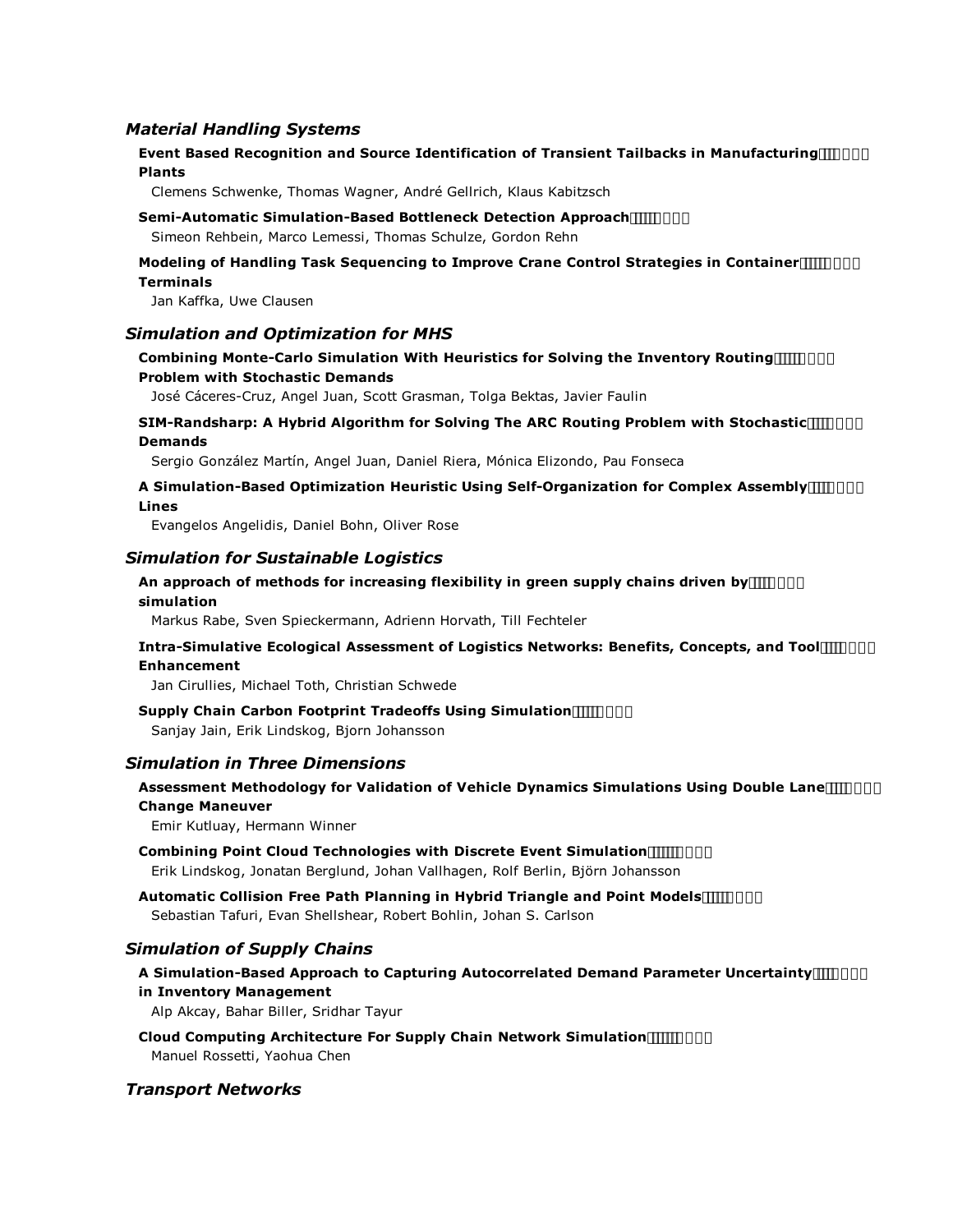#### *Material Handling Systems*

**Event Based Recognition and Source Identification of Transient Tailbacks in Manufacturing Plants**

Clemens Schwenke, Thomas Wagner, André Gellrich, Klaus Kabitzsch

**Semi-Automatic Simulation-Based Bottleneck Detection Approach**

Simeon Rehbein, Marco Lemessi, Thomas Schulze, Gordon Rehn

#### **Modeling of Handling Task Sequencing to Improve Crane Control Strategies in Container Terminals**

Jan Kaffka, Uwe Clausen

#### *Simulation and Optimization for MHS*

**Combining Monte-Carlo Simulation With Heuristics for Solving the Inventory Routing Problem with Stochastic Demands**

José Cáceres-Cruz, Angel Juan, Scott Grasman, Tolga Bektas, Javier Faulin

#### **SIM-Randsharp: A Hybrid Algorithm for Solving The ARC Routing Problem with Stochastic Demands**

Sergio González Martín, Angel Juan, Daniel Riera, Mónica Elizondo, Pau Fonseca

#### **A Simulation-Based Optimization Heuristic Using Self-Organization for Complex Assembly Lines**

Evangelos Angelidis, Daniel Bohn, Oliver Rose

#### *Simulation for Sustainable Logistics*

#### An approach of methods for increasing flexibility in green supply chains driven by "" \$' **simulation**

Markus Rabe, Sven Spieckermann, Adrienn Horvath, Till Fechteler

#### **Intra-Simulative Ecological Assessment of Logistics Networks: Benefits, Concepts, and Tool Enhancement**

Jan Cirullies, Michael Toth, Christian Schwede

# **Supply Chain Carbon Footprint Tradeoffs Using Simulation**

Sanjay Jain, Erik Lindskog, Bjorn Johansson

#### *Simulation in Three Dimensions*

#### **Assessment Methodology for Validation of Vehicle Dynamics Simulations Using Double Lane Change Maneuver**

Emir Kutluay, Hermann Winner

**Combining Point Cloud Technologies with Discrete Event Simulation** Erik Lindskog, Jonatan Berglund, Johan Vallhagen, Rolf Berlin, Björn Johansson

**Automatic Collision Free Path Planning in Hybrid Triangle and Point Models** Sebastian Tafuri, Evan Shellshear, Robert Bohlin, Johan S. Carlson

#### *Simulation of Supply Chains*

**A Simulation-Based Approach to Capturing Autocorrelated Demand Parameter Uncertainty in Inventory Management**

Alp Akcay, Bahar Biller, Sridhar Tayur

**Cloud Computing Architecture For Supply Chain Network Simulation** Manuel Rossetti, Yaohua Chen

#### *Transport Networks*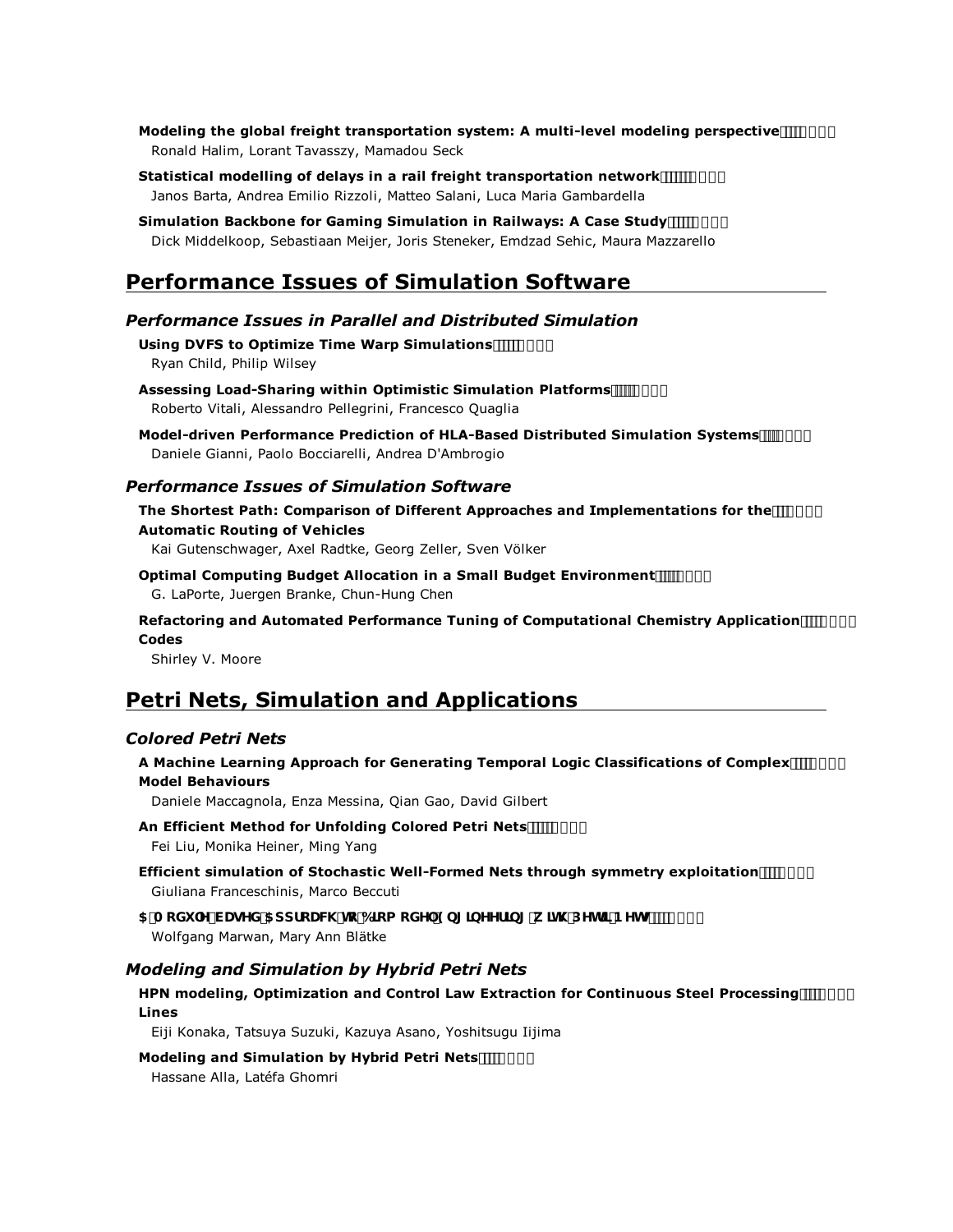- **Modeling the global freight transportation system: A multi-level modeling perspective** Ronald Halim, Lorant Tavasszy, Mamadou Seck
- **Statistical modelling of delays in a rail freight transportation network** Janos Barta, Andrea Emilio Rizzoli, Matteo Salani, Luca Maria Gambardella
- **Simulation Backbone for Gaming Simulation in Railways: A Case Study** Dick Middelkoop, Sebastiaan Meijer, Joris Steneker, Emdzad Sehic, Maura Mazzarello

# **Performance Issues of Simulation Software**

#### *Performance Issues in Parallel and Distributed Simulation*

- **Using DVFS to Optimize Time Warp Simulations** Ryan Child, Philip Wilsey
- **Assessing Load-Sharing within Optimistic Simulation Platforms** Roberto Vitali, Alessandro Pellegrini, Francesco Quaglia
- **Model-driven Performance Prediction of HLA-Based Distributed Simulation Systems** Daniele Gianni, Paolo Bocciarelli, Andrea D'Ambrogio

#### *Performance Issues of Simulation Software*

**The Shortest Path: Comparison of Different Approaches and Implementations for the Automatic Routing of Vehicles**

Kai Gutenschwager, Axel Radtke, Georg Zeller, Sven Völker

- **Optimal Computing Budget Allocation in a Small Budget Environment** G. LaPorte, Juergen Branke, Chun-Hung Chen
- **Refactoring and Automated Performance Tuning of Computational Chemistry Application Codes**

Shirley V. Moore

# **Petri Nets, Simulation and Applications**

## *Colored Petri Nets*

**A Machine Learning Approach for Generating Temporal Logic Classifications of Complex Model Behaviours**

Daniele Maccagnola, Enza Messina, Qian Gao, David Gilbert

#### **An Efficient Method for Unfolding Colored Petri Nets**

Fei Liu, Monika Heiner, Ming Yang

- **Efficient simulation of Stochastic Well-Formed Nets through symmetry exploitation** Giuliana Franceschinis, Marco Beccuti
- 5 A cXi `Y! VUgYX `5ddfcUW `hc `6]ca cXY` `9b[ ]bYYf]b[ `k ]h\ `DYhf] BYhg````' &+, Wolfgang Marwan, Mary Ann Blätke

#### *Modeling and Simulation by Hybrid Petri Nets*

#### **HPN modeling, Optimization and Control Law Extraction for Continuous Steel Processing Lines**

Eiji Konaka, Tatsuya Suzuki, Kazuya Asano, Yoshitsugu Iijima

**Modeling and Simulation by Hybrid Petri Nets** Hassane Alla, Latéfa Ghomri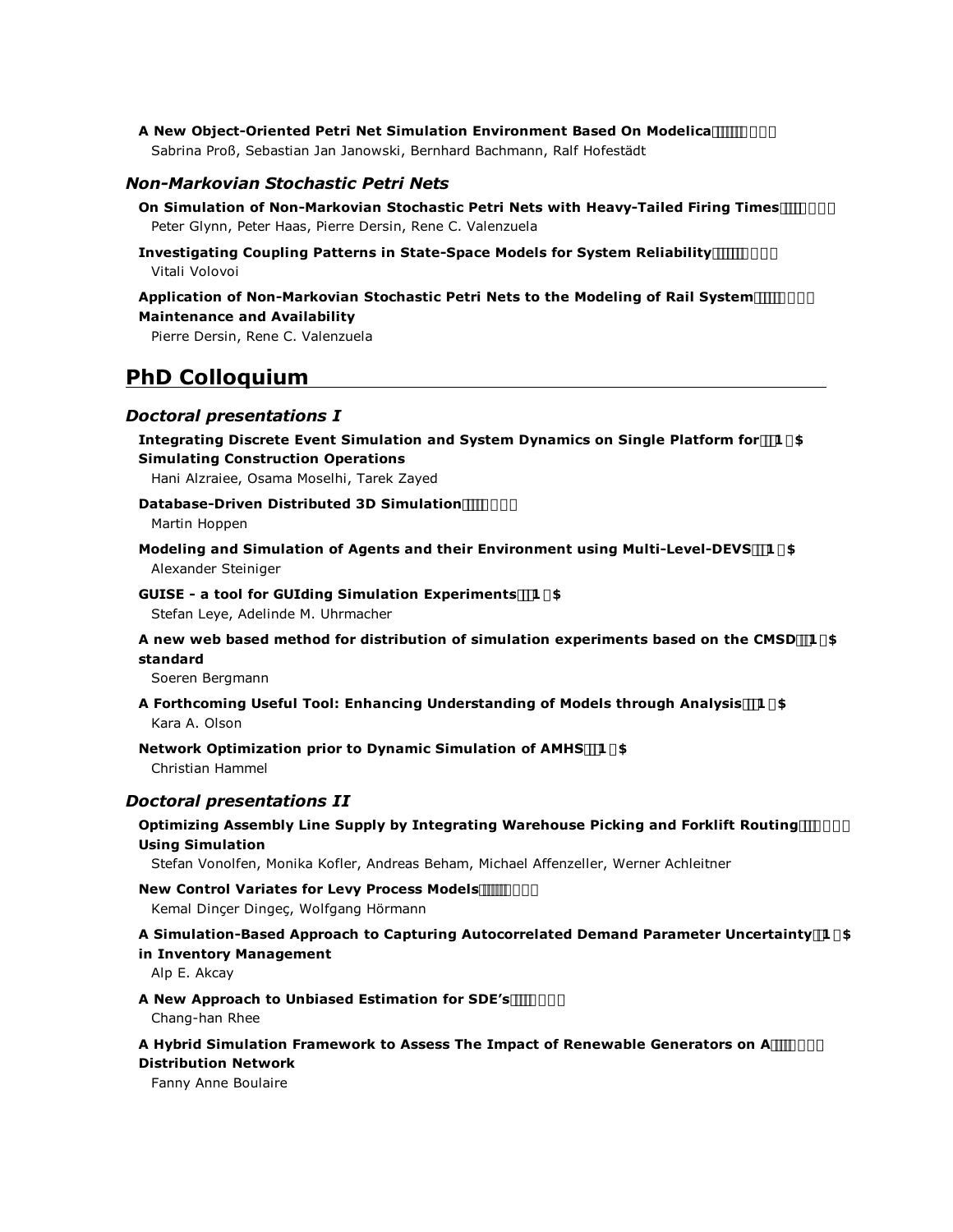**A New Object-Oriented Petri Net Simulation Environment Based On Modelica** Sabrina Proß, Sebastian Jan Janowski, Bernhard Bachmann, Ralf Hofestädt

#### *Non-Markovian Stochastic Petri Nets*

- **On Simulation of Non-Markovian Stochastic Petri Nets with Heavy-Tailed Firing Times** Peter Glynn, Peter Haas, Pierre Dersin, Rene C. Valenzuela
- **Investigating Coupling Patterns in State-Space Models for System Reliability** Vitali Volovoi

#### **Application of Non-Markovian Stochastic Petri Nets to the Modeling of Rail System Maintenance and Availability**

Pierre Dersin, Rene C. Valenzuela

# **PhD Colloquium**

#### *Doctoral presentations I*

Integrating Discrete Event Simulation and System Dynamics on Single Platform for <sup>18</sup> **Simulating Construction Operations**

Hani Alzraiee, Osama Moselhi, Tarek Zayed

**Database-Driven Distributed 3D Simulation**

Martin Hoppen

- **Modeling and Simulation of Agents and their Environment using Multi-Level-DEVS**<sup>11</sup>B#5 Alexander Steiniger
- **GUISE a tool for GUIding Simulation Experiments1\$** Stefan Leye, Adelinde M. Uhrmacher
- A new web based method for distribution of simulation experiments based on the CMSD<sup>11</sup>B#5 **standard**

Soeren Bergmann

- **A Forthcoming Useful Tool: Enhancing Understanding of Models through Analysis1\$** Kara A. Olson
- **Network Optimization prior to Dynamic Simulation of AMHS1\$** Christian Hammel

#### *Doctoral presentations II*

#### **Optimizing Assembly Line Supply by Integrating Warehouse Picking and Forklift Routing Using Simulation**

Stefan Vonolfen, Monika Kofler, Andreas Beham, Michael Affenzeller, Werner Achleitner

**New Control Variates for Levy Process Models** Kemal Dinçer Dingeç, Wolfgang Hörmann

#### A Simulation-Based Approach to Capturing Autocorrelated Demand Parameter Uncertainty <sup>"B#5</sup> **in Inventory Management**

Alp E. Akcay

**A New Approach to Unbiased Estimation for SDE's**

Chang-han Rhee

#### **A Hybrid Simulation Framework to Assess The Impact of Renewable Generators on A Distribution Network**

Fanny Anne Boulaire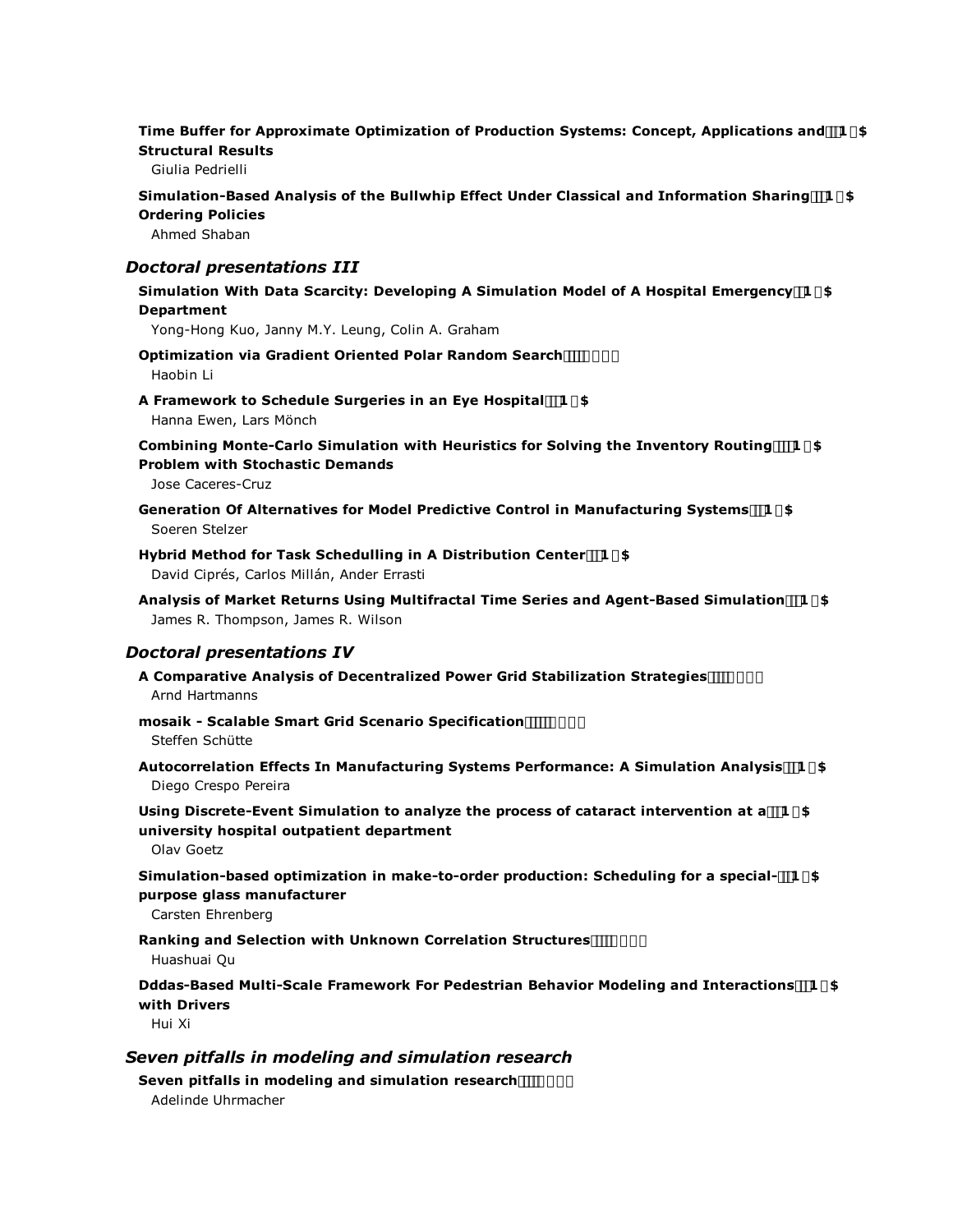**Time Buffer for Approximate Optimization of Production Systems: Concept, Applications and1\$ Structural Results**

Giulia Pedrielli

**Simulation-Based Analysis of the Bullwhip Effect Under Classical and Information Sharing1\$ Ordering Policies**

Ahmed Shaban

#### *Doctoral presentations III*

#### **Simulation With Data Scarcity: Developing A Simulation Model of A Hospital Emergency1\$ Department**

Yong-Hong Kuo, Janny M.Y. Leung, Colin A. Graham

- **Optimization via Gradient Oriented Polar Random Search** Haobin Li
- **A Framework to Schedule Surgeries in an Eye Hospital1\$** Hanna Ewen, Lars Mönch
- **Combining Monte-Carlo Simulation with Heuristics for Solving the Inventory Routing1\$ Problem with Stochastic Demands**

Jose Caceres-Cruz

- **Generation Of Alternatives for Model Predictive Control in Manufacturing Systems1\$** Soeren Stelzer
- Hybrid Method for Task Schedulling in A Distribution Center<sup>11</sup>B#5 David Ciprés, Carlos Millán, Ander Errasti
- **Analysis of Market Returns Using Multifractal Time Series and Agent-Based Simulation1\$** James R. Thompson, James R. Wilson

#### *Doctoral presentations IV*

- **A Comparative Analysis of Decentralized Power Grid Stabilization Strategies** Arnd Hartmanns
- **mosaik Scalable Smart Grid Scenario Specification** Steffen Schütte
- Autocorrelation Effects In Manufacturing Systems Performance: A Simulation Analysis<sup>111</sup>B#5 Diego Crespo Pereira

**Using Discrete-Event Simulation to analyze the process of cataract intervention at a <sup>11</sup>B#5 university hospital outpatient department**

Olav Goetz

**Simulation-based optimization in make-to-order production: Scheduling for a special-1\$ purpose glass manufacturer**

Carsten Ehrenberg

**Ranking and Selection with Unknown Correlation Structures**

Huashuai Qu

**Dddas-Based Multi-Scale Framework For Pedestrian Behavior Modeling and Interactions1\$ with Drivers**

Hui Xi

#### *Seven pitfalls in modeling and simulation research*

**Seven pitfalls in modeling and simulation research** Adelinde Uhrmacher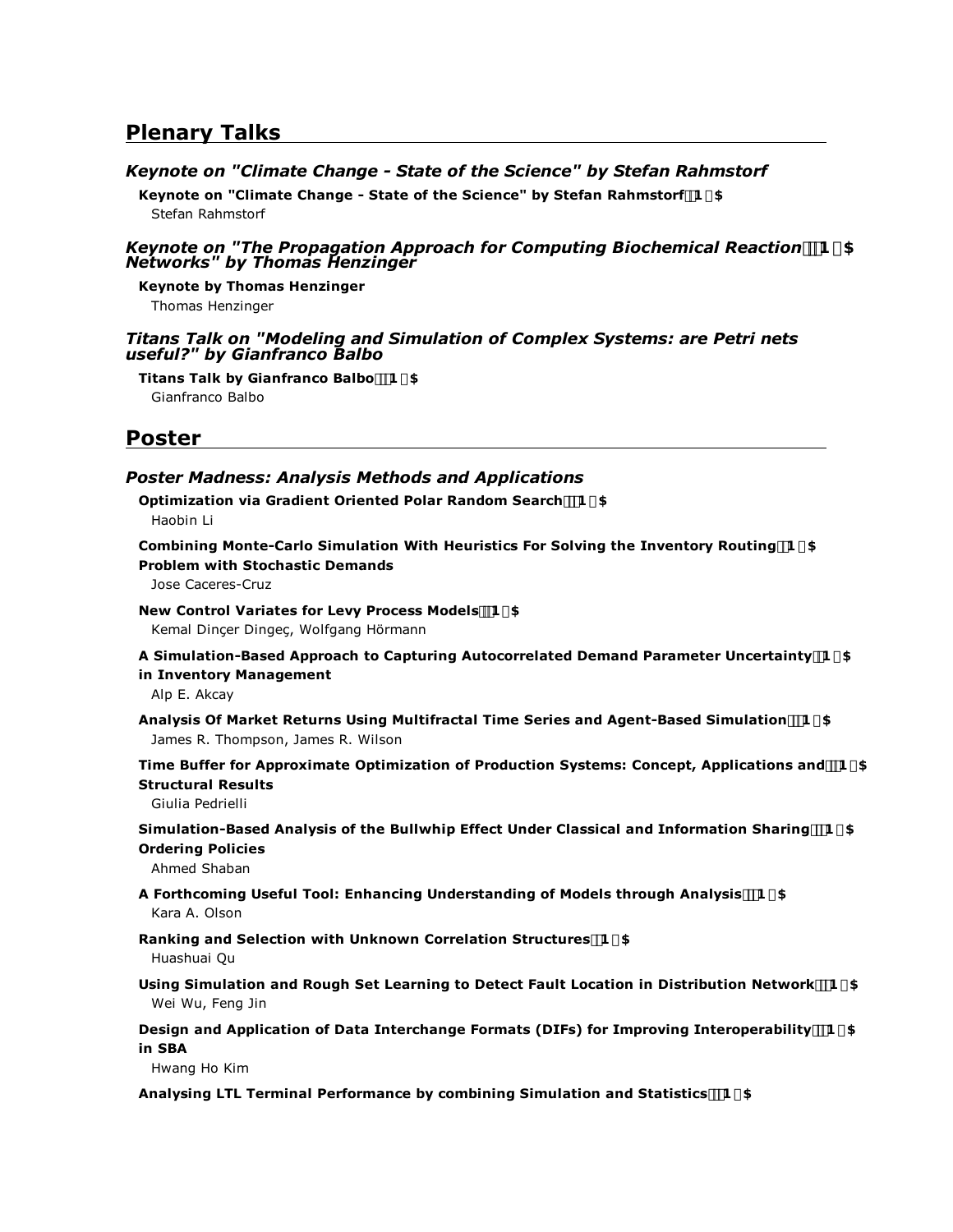# **Plenary Talks**

#### *Keynote on "Climate Change - State of the Science" by Stefan Rahmstorf*

Keynote on "Climate Change - State of the Science" by Stefan Rahmstorf<sup>"</sup>B#5 Stefan Rahmstorf

#### *Keynote on "The Propagation Approach for Computing Biochemical Reaction*  $B#5$ *Networks" by Thomas Henzinger*

**Keynote by Thomas Henzinger** Thomas Henzinger

#### *Titans Talk on "Modeling and Simulation of Complex Systems: are Petri nets useful?" by Gianfranco Balbo*

**Titans Talk by Gianfranco Balbo1\$** Gianfranco Balbo

## **Poster**

#### *Poster Madness: Analysis Methods and Applications*

**Optimization via Gradient Oriented Polar Random Search1\$** Haobin Li

**Combining Monte-Carlo Simulation With Heuristics For Solving the Inventory Routing1\$ Problem with Stochastic Demands**

Jose Caceres-Cruz

**New Control Variates for Levy Process Models 18#5** Kemal Dinçer Dingeç, Wolfgang Hörmann

A Simulation-Based Approach to Capturing Autocorrelated Demand Parameter Uncertainty B#5 **in Inventory Management**

Alp E. Akcay

**Analysis Of Market Returns Using Multifractal Time Series and Agent-Based Simulation1\$** James R. Thompson, James R. Wilson

**Time Buffer for Approximate Optimization of Production Systems: Concept, Applications and1\$ Structural Results**

Giulia Pedrielli

**Simulation-Based Analysis of the Bullwhip Effect Under Classical and Information Sharing1\$ Ordering Policies**

Ahmed Shaban

- **A Forthcoming Useful Tool: Enhancing Understanding of Models through Analysis1\$** Kara A. Olson
- **Ranking and Selection with Unknown Correlation Structures B#5**

Huashuai Qu

- **Using Simulation and Rough Set Learning to Detect Fault Location in Distribution Network1\$** Wei Wu, Feng Jin
- **Design and Application of Data Interchange Formats (DIFs) for Improving Interoperability**  $B#5$ **in SBA**

Hwang Ho Kim

#### **Analysing LTL Terminal Performance by combining Simulation and Statistics1\$**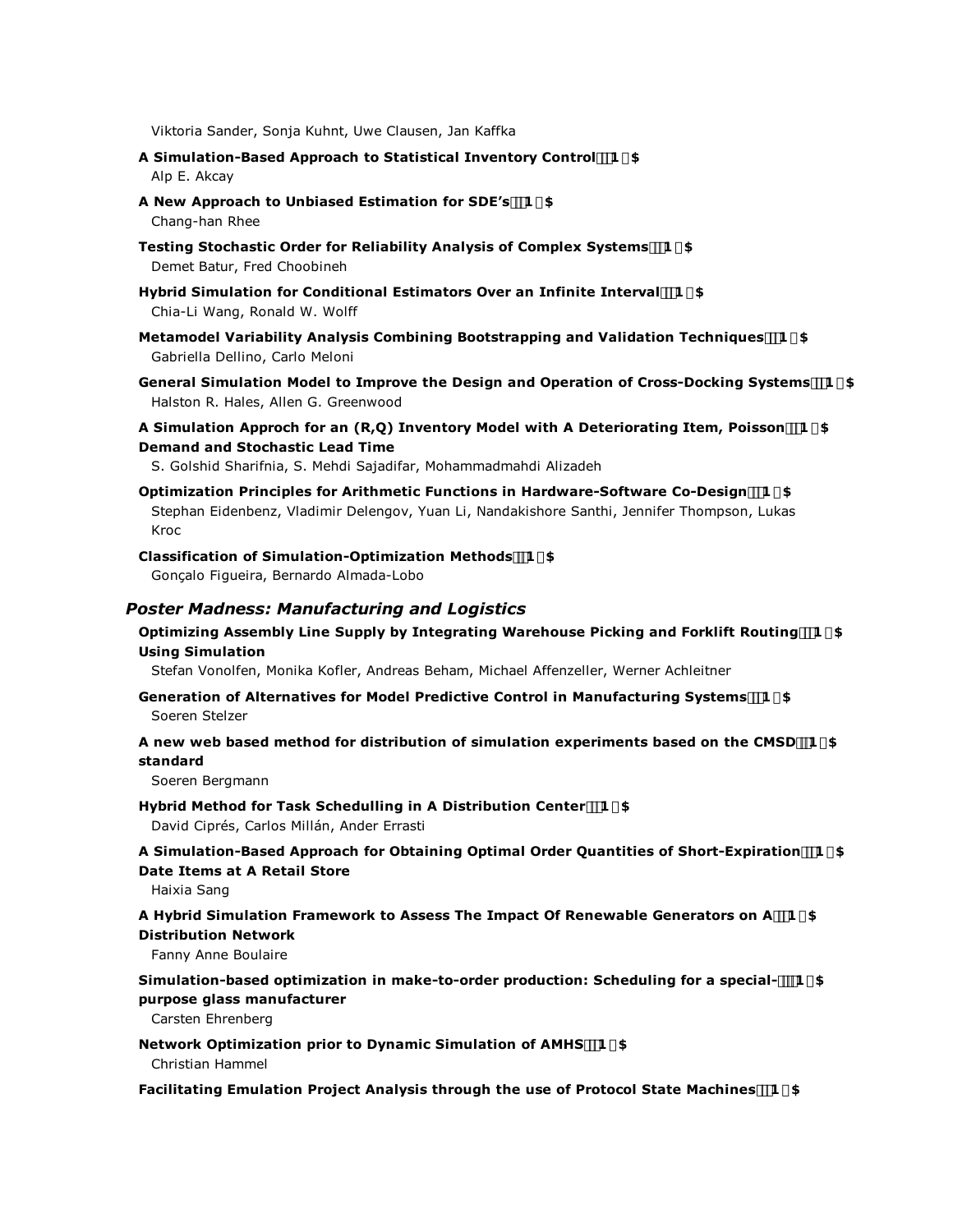Viktoria Sander, Sonja Kuhnt, Uwe Clausen, Jan Kaffka

- **A Simulation-Based Approach to Statistical Inventory Control1\$** Alp E. Akcay
- A New Approach to Unbiased Estimation for SDE's **18#5** Chang-han Rhee
- **Testing Stochastic Order for Reliability Analysis of Complex Systems1\$** Demet Batur, Fred Choobineh
- **Hybrid Simulation for Conditional Estimators Over an Infinite Interval<sup>11</sup>B#5** Chia-Li Wang, Ronald W. Wolff
- **Metamodel Variability Analysis Combining Bootstrapping and Validation Techniques**  $\mathbf{B} \neq 5$ Gabriella Dellino, Carlo Meloni
- **General Simulation Model to Improve the Design and Operation of Cross-Docking Systems1\$** Halston R. Hales, Allen G. Greenwood
- A Simulation Approch for an (R,Q) Inventory Model with A Deteriorating Item, Poisson<sup>118</sup>B#5 **Demand and Stochastic Lead Time**

S. Golshid Sharifnia, S. Mehdi Sajadifar, Mohammadmahdi Alizadeh

**Optimization Principles for Arithmetic Functions in Hardware-Software Co-Design1\$** Stephan Eidenbenz, Vladimir Delengov, Yuan Li, Nandakishore Santhi, Jennifer Thompson, Lukas Kroc

#### **Classification of Simulation-Optimization Methods1\$**

Gonçalo Figueira, Bernardo Almada-Lobo

#### *Poster Madness: Manufacturing and Logistics*

**Optimizing Assembly Line Supply by Integrating Warehouse Picking and Forklift Routing1\$ Using Simulation**

Stefan Vonolfen, Monika Kofler, Andreas Beham, Michael Affenzeller, Werner Achleitner

**Generation of Alternatives for Model Predictive Control in Manufacturing Systems1\$** Soeren Stelzer

#### A new web based method for distribution of simulation experiments based on the CMSD<sup>118</sup>B#5 **standard**

Soeren Bergmann

**Hybrid Method for Task Schedulling in A Distribution Center**<sup>11</sup>B#5 David Ciprés, Carlos Millán, Ander Errasti

**A Simulation-Based Approach for Obtaining Optimal Order Quantities of Short-Expiration1\$ Date Items at A Retail Store**

Haixia Sang

#### A Hybrid Simulation Framework to Assess The Impact Of Renewable Generators on A<sup>11</sup>B#5 **Distribution Network**

Fanny Anne Boulaire

#### **Simulation-based optimization in make-to-order production: Scheduling for a special-1\$ purpose glass manufacturer**

Carsten Ehrenberg

**Network Optimization prior to Dynamic Simulation of AMHS1\$** Christian Hammel

**Facilitating Emulation Project Analysis through the use of Protocol State Machines1\$**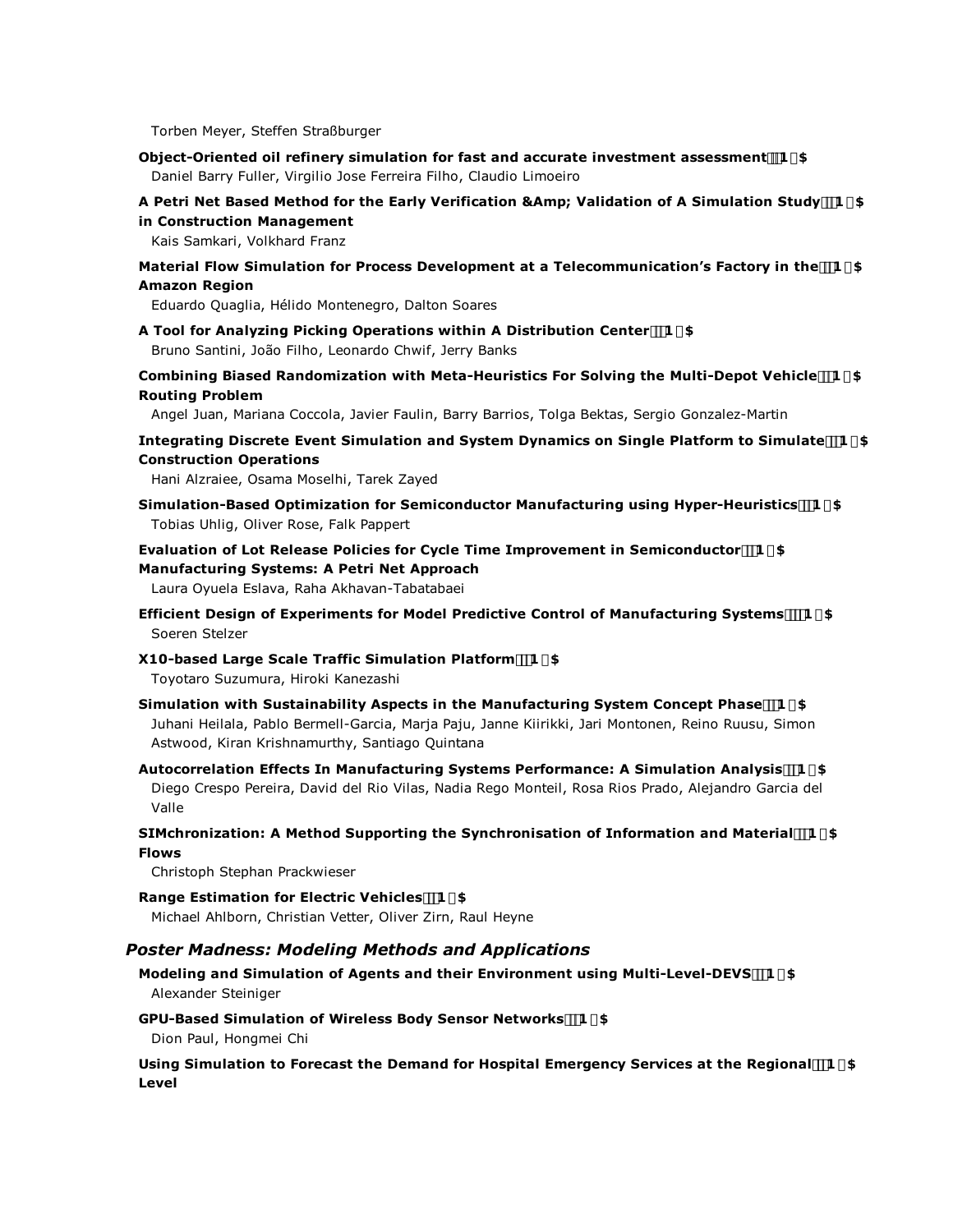Torben Meyer, Steffen Straßburger

Object-Oriented oil refinery simulation for fast and accurate investment assessment "B#5 Daniel Barry Fuller, Virgilio Jose Ferreira Filho, Claudio Limoeiro

#### **A Petri Net Based Method for the Early Verification &Amp; Validation of A Simulation Study1\$ in Construction Management**

Kais Samkari, Volkhard Franz

#### Material Flow Simulation for Process Development at a Telecommunication's Factory in the <sup>11</sup>B#5 **Amazon Region**

Eduardo Quaglia, Hélido Montenegro, Dalton Soares

A Tool for Analyzing Picking Operations within A Distribution Center<sup>11</sup>18#5 Bruno Santini, João Filho, Leonardo Chwif, Jerry Banks

#### **Combining Biased Randomization with Meta-Heuristics For Solving the Multi-Depot Vehicle1\$ Routing Problem**

Angel Juan, Mariana Coccola, Javier Faulin, Barry Barrios, Tolga Bektas, Sergio Gonzalez-Martin

#### Integrating Discrete Event Simulation and System Dynamics on Single Platform to Simulate<sup>11</sup>B#5 **Construction Operations**

Hani Alzraiee, Osama Moselhi, Tarek Zayed

- **Simulation-Based Optimization for Semiconductor Manufacturing using Hyper-Heuristics1\$** Tobias Uhlig, Oliver Rose, Falk Pappert
- Evaluation of Lot Release Policies for Cycle Time Improvement in Semiconductor<sup>118</sup>#5 **Manufacturing Systems: A Petri Net Approach**

Laura Oyuela Eslava, Raha Akhavan-Tabatabaei

- Efficient Design of Experiments for Model Predictive Control of Manufacturing Systems<sup>111</sup>B#5 Soeren Stelzer
- **X10-based Large Scale Traffic Simulation Platform1\$**

Toyotaro Suzumura, Hiroki Kanezashi

- **Simulation with Sustainability Aspects in the Manufacturing System Concept Phase1\$** Juhani Heilala, Pablo Bermell-Garcia, Marja Paju, Janne Kiirikki, Jari Montonen, Reino Ruusu, Simon Astwood, Kiran Krishnamurthy, Santiago Quintana
- Autocorrelation Effects In Manufacturing Systems Performance: A Simulation Analysis<sup>111</sup>B#5 Diego Crespo Pereira, David del Rio Vilas, Nadia Rego Monteil, Rosa Rios Prado, Alejandro Garcia del Valle

#### **SIMchronization: A Method Supporting the Synchronisation of Information and Material1\$ Flows**

Christoph Stephan Prackwieser

**Range Estimation for Electric Vehicles1\$** Michael Ahlborn, Christian Vetter, Oliver Zirn, Raul Heyne

#### *Poster Madness: Modeling Methods and Applications*

- **Modeling and Simulation of Agents and their Environment using Multi-Level-DEVS1\$** Alexander Steiniger
- **GPU-Based Simulation of Wireless Body Sensor Networks1\$** Dion Paul, Hongmei Chi

Using Simulation to Forecast the Demand for Hospital Emergency Services at the Regional<sup>11</sup>B#5 **Level**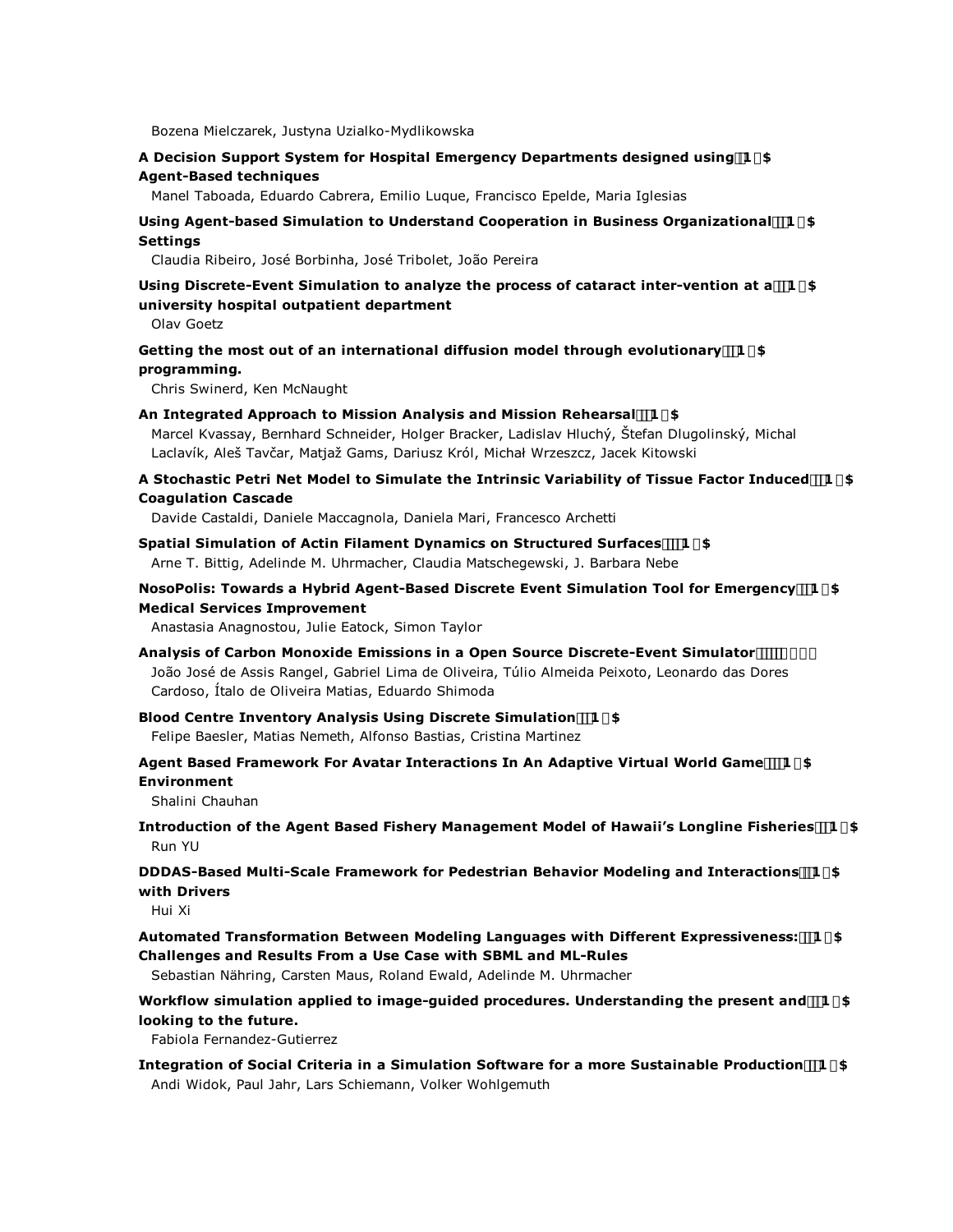Bozena Mielczarek, Justyna Uzialko-Mydlikowska

#### **A Decision Support System for Hospital Emergency Departments designed using1\$ Agent-Based techniques**

Manel Taboada, Eduardo Cabrera, Emilio Luque, Francisco Epelde, Maria Iglesias

#### **Using Agent-based Simulation to Understand Cooperation in Business Organizational "B#5 Settings**

Claudia Ribeiro, José Borbinha, José Tribolet, João Pereira

#### **Using Discrete-Event Simulation to analyze the process of cataract inter-vention at a <sup>11</sup>B#5 university hospital outpatient department**

Olav Goetz

#### Getting the most out of an international diffusion model through evolutionary<sup>11</sup>B#5 **programming.**

Chris Swinerd, Ken McNaught

#### An Integrated Approach to Mission Analysis and Mission Rehearsal **18#5**

Marcel Kvassay, Bernhard Schneider, Holger Bracker, Ladislav Hluchý, Štefan Dlugolinský, Michal Laclavík, Aleš Tavčar, Matjaž Gams, Dariusz Król, Michał Wrzeszcz, Jacek Kitowski

#### **A Stochastic Petri Net Model to Simulate the Intrinsic Variability of Tissue Factor Induced1\$ Coagulation Cascade**

Davide Castaldi, Daniele Maccagnola, Daniela Mari, Francesco Archetti

#### **Spatial Simulation of Actin Filament Dynamics on Structured Surfaces<sup>111</sup>B#5** Arne T. Bittig, Adelinde M. Uhrmacher, Claudia Matschegewski, J. Barbara Nebe

#### **NosoPolis: Towards a Hybrid Agent-Based Discrete Event Simulation Tool for Emergency<sup>11</sup>B#5 Medical Services Improvement**

Anastasia Anagnostou, Julie Eatock, Simon Taylor

- **Analysis of Carbon Monoxide Emissions in a Open Source Discrete-Event Simulator** João José de Assis Rangel, Gabriel Lima de Oliveira, Túlio Almeida Peixoto, Leonardo das Dores Cardoso, Ítalo de Oliveira Matias, Eduardo Shimoda
- **Blood Centre Inventory Analysis Using Discrete Simulation1\$** Felipe Baesler, Matias Nemeth, Alfonso Bastias, Cristina Martinez

#### Agent Based Framework For Avatar Interactions In An Adaptive Virtual World Game<sup>111</sup>B#5 **Environment**

Shalini Chauhan

#### Introduction of the Agent Based Fishery Management Model of Hawaii's Longline Fisheries<sup>118</sup>#5 Run YU

#### **DDDAS-Based Multi-Scale Framework for Pedestrian Behavior Modeling and Interactions1\$ with Drivers**

Hui Xi

#### Automated Transformation Between Modeling Languages with Different Expressiveness:  $B#5$ **Challenges and Results From a Use Case with SBML and ML-Rules**

Sebastian Nähring, Carsten Maus, Roland Ewald, Adelinde M. Uhrmacher

#### Workflow simulation applied to image-guided procedures. Understanding the present and  $\text{``B#5}$ **looking to the future.**

Fabiola Fernandez-Gutierrez

Integration of Social Criteria in a Simulation Software for a more Sustainable Production<sup>11</sup>B#5 Andi Widok, Paul Jahr, Lars Schiemann, Volker Wohlgemuth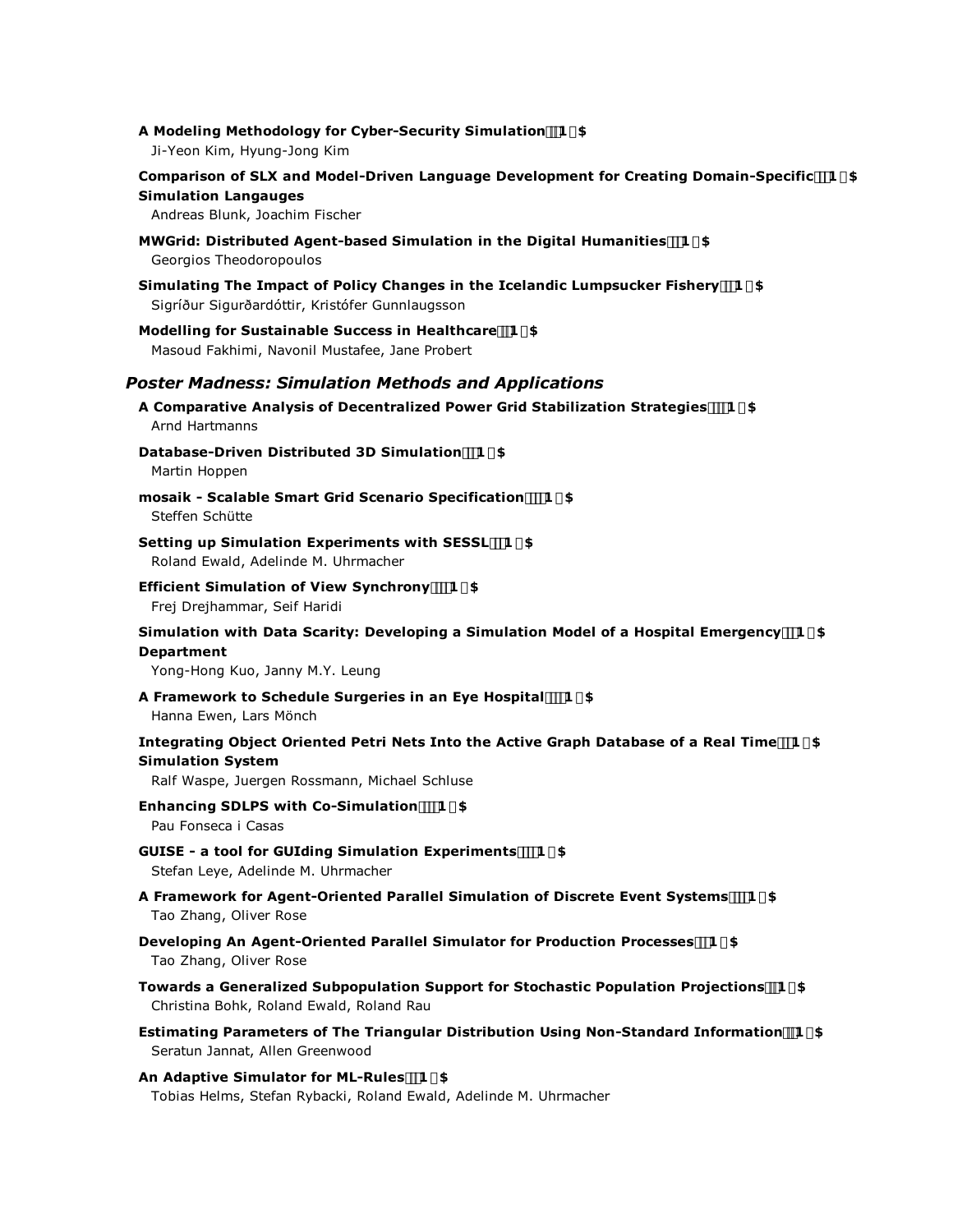| Comparison of SLX and Model-Driven Language Development for Creating Domain-Specific "B#5                                                                              |
|------------------------------------------------------------------------------------------------------------------------------------------------------------------------|
| <b>Simulation Langauges</b><br>Andreas Blunk, Joachim Fischer                                                                                                          |
| MWGrid: Distributed Agent-based Simulation in the Digital Humanities B#5<br>Georgios Theodoropoulos                                                                    |
| Simulating The Impact of Policy Changes in the Icelandic Lumpsucker Fishery "B#5<br>Sigríður Sigurðardóttir, Kristófer Gunnlaugsson                                    |
| Modelling for Sustainable Success in Healthcare "B#5<br>Masoud Fakhimi, Navonil Mustafee, Jane Probert                                                                 |
| <b>Poster Madness: Simulation Methods and Applications</b>                                                                                                             |
| A Comparative Analysis of Decentralized Power Grid Stabilization Strategies **** B#5<br>Arnd Hartmanns                                                                 |
| Database-Driven Distributed 3D Simulation B#5<br>Martin Hoppen                                                                                                         |
| mosaik - Scalable Smart Grid Scenario Specification ""B#5<br>Steffen Schütte                                                                                           |
| Setting up Simulation Experiments with SESSL B#5<br>Roland Ewald, Adelinde M. Uhrmacher                                                                                |
| Efficient Simulation of View Synchrony ""B#5<br>Frej Drejhammar, Seif Haridi                                                                                           |
| Simulation with Data Scarity: Developing a Simulation Model of a Hospital Emergency •• B#5<br><b>Department</b><br>Yong-Hong Kuo, Janny M.Y. Leung                     |
| A Framework to Schedule Surgeries in an Eye Hospital ""B#5<br>Hanna Ewen, Lars Mönch                                                                                   |
| Integrating Object Oriented Petri Nets Into the Active Graph Database of a Real Time "B#5<br><b>Simulation System</b><br>Ralf Waspe, Juergen Rossmann, Michael Schluse |
| Enhancing SDLPS with Co-Simulation <b>Fig. 45</b><br>Pau Fonseca i Casas                                                                                               |
| GUISE - a tool for GUIding Simulation Experiments ""B#5<br>Stefan Leye, Adelinde M. Uhrmacher                                                                          |
| A Framework for Agent-Oriented Parallel Simulation of Discrete Event Systems *** B#5<br>Tao Zhang, Oliver Rose                                                         |
| Developing An Agent-Oriented Parallel Simulator for Production Processes "B#5<br>Tao Zhang, Oliver Rose                                                                |
| Towards a Generalized Subpopulation Support for Stochastic Population Projections "B#5<br>Christina Bohk, Roland Ewald, Roland Rau                                     |
| Estimating Parameters of The Triangular Distribution Using Non-Standard Information "B#5<br>Seratun Jannat, Allen Greenwood                                            |
| An Adaptive Simulator for ML-Rules "B#5<br>Tobias Helms, Stefan Rybacki, Roland Ewald, Adelinde M. Uhrmacher                                                           |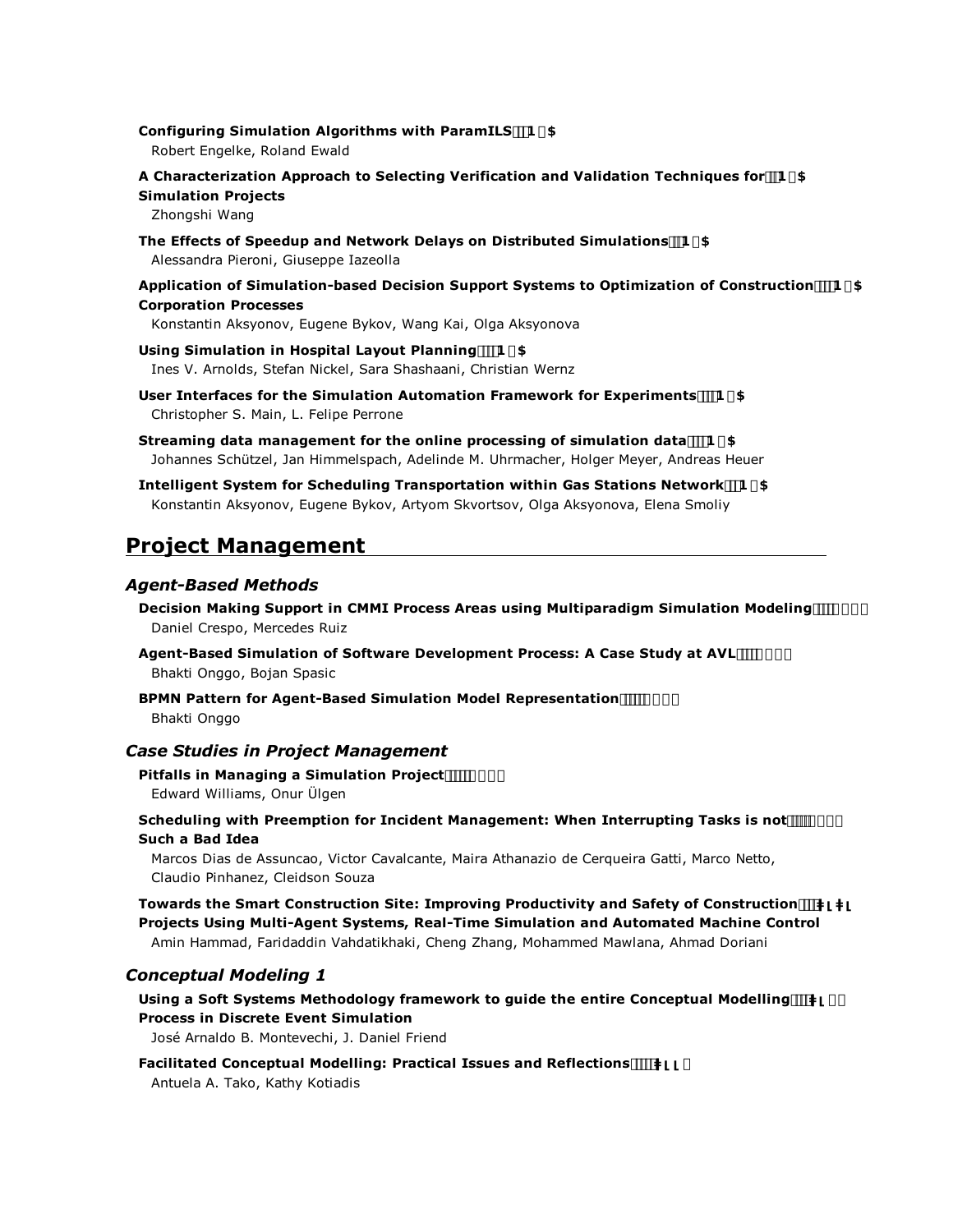#### **Configuring Simulation Algorithms with ParamILS1\$**

Robert Engelke, Roland Ewald

A Characterization Approach to Selecting Verification and Validation Techniques for  $\mathbb{H}$ <sup>8</sup> **Simulation Projects**

Zhongshi Wang

- The Effects of Speedup and Network Delays on Distributed Simulations<sup>11</sup>B#5 Alessandra Pieroni, Giuseppe Iazeolla
- Application of Simulation-based Decision Support Systems to Optimization of Construction<sup>111</sup>B#5 **Corporation Processes**

Konstantin Aksyonov, Eugene Bykov, Wang Kai, Olga Aksyonova

- **Using Simulation in Hospital Layout Planning**<sup>111</sup>B#5 Ines V. Arnolds, Stefan Nickel, Sara Shashaani, Christian Wernz
- **User Interfaces for the Simulation Automation Framework for Experiments 1845** Christopher S. Main, L. Felipe Perrone
- **Streaming data management for the online processing of simulation data**<sup>111</sup>B#5 Johannes Schützel, Jan Himmelspach, Adelinde M. Uhrmacher, Holger Meyer, Andreas Heuer
- **Intelligent System for Scheduling Transportation within Gas Stations Network**<sup>118</sup> **B**#5 Konstantin Aksyonov, Eugene Bykov, Artyom Skvortsov, Olga Aksyonova, Elena Smoliy

# **Project Management**

#### *Agent-Based Methods*

- **Decision Making Support in CMMI Process Areas using Multiparadigm Simulation Modeling** Daniel Crespo, Mercedes Ruiz
- **Agent-Based Simulation of Software Development Process: A Case Study at AVL** Bhakti Onggo, Bojan Spasic
- **BPMN Pattern for Agent-Based Simulation Model Representation** Bhakti Onggo

#### *Case Studies in Project Management*

**Pitfalls in Managing a Simulation Project**

Edward Williams, Onur Ülgen

**Scheduling with Preemption for Incident Management: When Interrupting Tasks is not Such a Bad Idea**

Marcos Dias de Assuncao, Victor Cavalcante, Maira Athanazio de Cerqueira Gatti, Marco Netto, Claudio Pinhanez, Cleidson Souza

**Towards the Smart Construction Site: Improving Productivity and Safety of Construction Projects Using Multi-Agent Systems, Real-Time Simulation and Automated Machine Control** Amin Hammad, Faridaddin Vahdatikhaki, Cheng Zhang, Mohammed Mawlana, Ahmad Doriani

#### *Conceptual Modeling 1*

**Using a Soft Systems Methodology framework to guide the entire Conceptual Modelling Process in Discrete Event Simulation**

José Arnaldo B. Montevechi, J. Daniel Friend

**Facilitated Conceptual Modelling: Practical Issues and Reflections** Antuela A. Tako, Kathy Kotiadis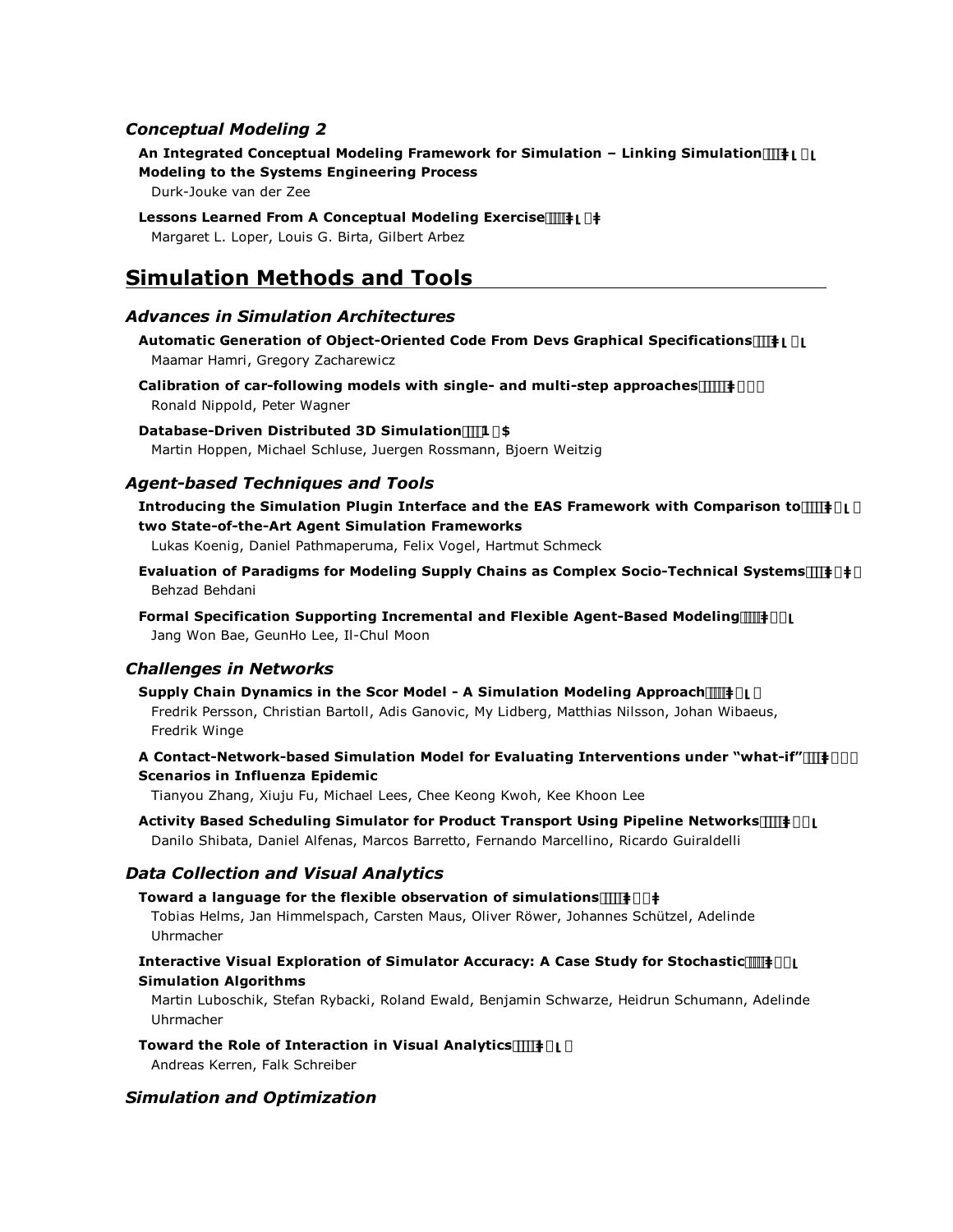## *Conceptual Modeling 2*

**An Integrated Conceptual Modeling Framework for Simulation – Linking Simulation Modeling to the Systems Engineering Process**

Durk-Jouke van der Zee

**Lessons Learned From A Conceptual Modeling Exercise**

Margaret L. Loper, Louis G. Birta, Gilbert Arbez

# **Simulation Methods and Tools**

## *Advances in Simulation Architectures*

**Automatic Generation of Object-Oriented Code From Devs Graphical Specifications** Maamar Hamri, Gregory Zacharewicz

**Calibration of car-following models with single- and multi-step approaches** Ronald Nippold, Peter Wagner

**Database-Driven Distributed 3D Simulation1\$** Martin Hoppen, Michael Schluse, Juergen Rossmann, Bjoern Weitzig

## *Agent-based Techniques and Tools*

**Introducing the Simulation Plugin Interface and the EAS Framework with Comparison to two State-of-the-Art Agent Simulation Frameworks**

Lukas Koenig, Daniel Pathmaperuma, Felix Vogel, Hartmut Schmeck

- **Evaluation of Paradigms for Modeling Supply Chains as Complex Socio-Technical Systems** Behzad Behdani
- **Formal Specification Supporting Incremental and Flexible Agent-Based Modeling** Jang Won Bae, GeunHo Lee, Il-Chul Moon

## *Challenges in Networks*

- **Supply Chain Dynamics in the Scor Model A Simulation Modeling Approach** Fredrik Persson, Christian Bartoll, Adis Ganovic, My Lidberg, Matthias Nilsson, Johan Wibaeus, Fredrik Winge
- **A Contact-Network-based Simulation Model for Evaluating Interventions under "what-if" Scenarios in Influenza Epidemic**

Tianyou Zhang, Xiuju Fu, Michael Lees, Chee Keong Kwoh, Kee Khoon Lee

**Activity Based Scheduling Simulator for Product Transport Using Pipeline Networks** Danilo Shibata, Daniel Alfenas, Marcos Barretto, Fernando Marcellino, Ricardo Guiraldelli

## *Data Collection and Visual Analytics*

**Toward a language for the flexible observation of simulations** Tobias Helms, Jan Himmelspach, Carsten Maus, Oliver Röwer, Johannes Schützel, Adelinde Uhrmacher

**Interactive Visual Exploration of Simulator Accuracy: A Case Study for Stochastic Simulation Algorithms**

Martin Luboschik, Stefan Rybacki, Roland Ewald, Benjamin Schwarze, Heidrun Schumann, Adelinde Uhrmacher

**Toward the Role of Interaction in Visual Analytics**

Andreas Kerren, Falk Schreiber

## *Simulation and Optimization*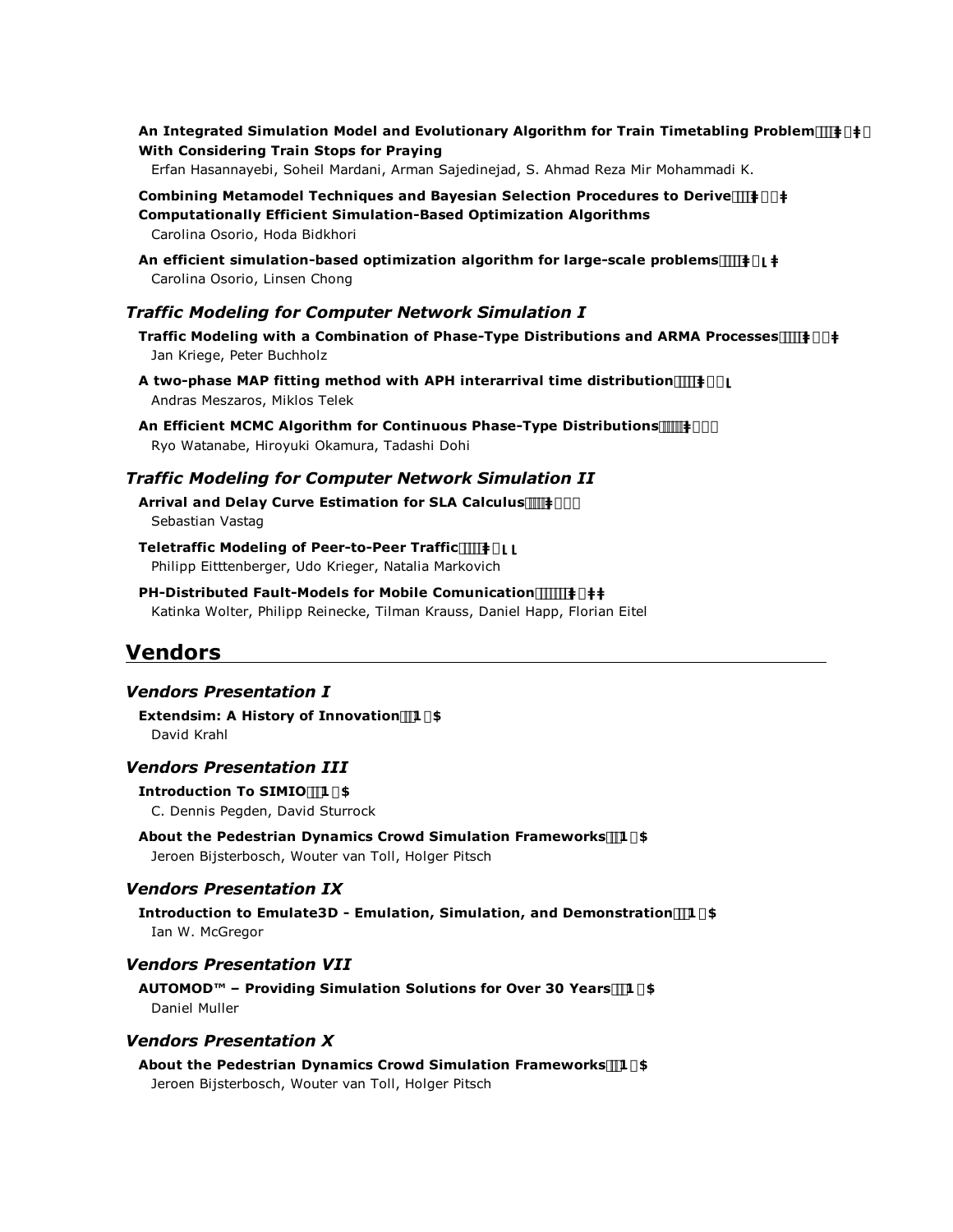#### **An Integrated Simulation Model and Evolutionary Algorithm for Train Timetabling Problem With Considering Train Stops for Praying**

Erfan Hasannayebi, Soheil Mardani, Arman Sajedinejad, S. Ahmad Reza Mir Mohammadi K.

## **Combining Metamodel Techniques and Bayesian Selection Procedures to Derive Computationally Efficient Simulation-Based Optimization Algorithms**

Carolina Osorio, Hoda Bidkhori

**An efficient simulation-based optimization algorithm for large-scale problems** Carolina Osorio, Linsen Chong

#### *Traffic Modeling for Computer Network Simulation I*

- **Traffic Modeling with a Combination of Phase-Type Distributions and ARMA Processes** Jan Kriege, Peter Buchholz
- **A two-phase MAP fitting method with APH interarrival time distribution** Andras Meszaros, Miklos Telek
- **An Efficient MCMC Algorithm for Continuous Phase-Type Distributions** Ryo Watanabe, Hiroyuki Okamura, Tadashi Dohi

## *Traffic Modeling for Computer Network Simulation II*

**Arrival and Delay Curve Estimation for SLA Calculus** Sebastian Vastag

- **Teletraffic Modeling of Peer-to-Peer Traffic** Philipp Eitttenberger, Udo Krieger, Natalia Markovich
- **PH-Distributed Fault-Models for Mobile Comunication** Katinka Wolter, Philipp Reinecke, Tilman Krauss, Daniel Happ, Florian Eitel

## **Vendors**

## *Vendors Presentation I*

**Extendsim: A History of Innovation 18#5** David Krahl

#### *Vendors Presentation III*

#### **Introduction To SIMIO**<sup>11</sup>B#5

C. Dennis Pegden, David Sturrock

**About the Pedestrian Dynamics Crowd Simulation Frameworks1\$** Jeroen Bijsterbosch, Wouter van Toll, Holger Pitsch

#### *Vendors Presentation IX*

Introduction to Emulate3D - Emulation, Simulation, and Demonstration<sup>11</sup>B#5 Ian W. McGregor

#### *Vendors Presentation VII*

**AUTOMOD™ – Providing Simulation Solutions for Over 30 Years1\$** Daniel Muller

#### *Vendors Presentation X*

**About the Pedestrian Dynamics Crowd Simulation Frameworks1\$** Jeroen Bijsterbosch, Wouter van Toll, Holger Pitsch